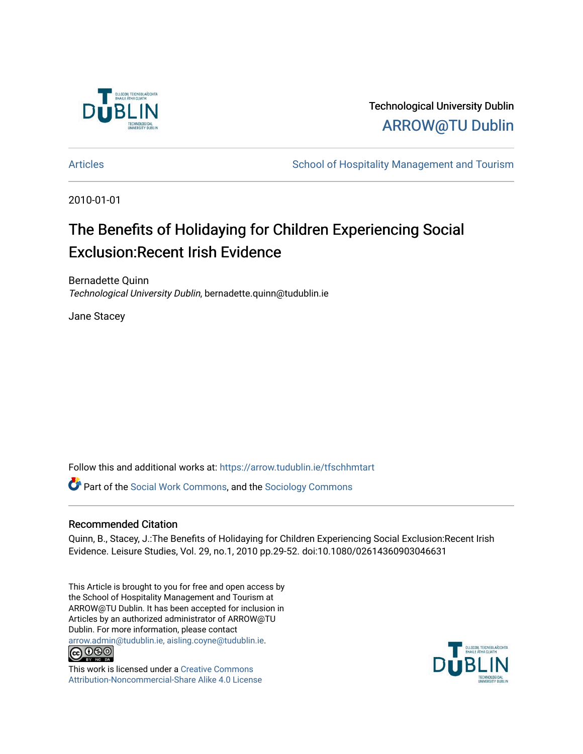

Technological University Dublin [ARROW@TU Dublin](https://arrow.tudublin.ie/) 

[Articles](https://arrow.tudublin.ie/tfschhmtart) **School of Hospitality Management and Tourism** 

2010-01-01

# The Benefits of Holidaying for Children Experiencing Social Exclusion:Recent Irish Evidence

Bernadette Quinn Technological University Dublin, bernadette.quinn@tudublin.ie

Jane Stacey

Follow this and additional works at: [https://arrow.tudublin.ie/tfschhmtart](https://arrow.tudublin.ie/tfschhmtart?utm_source=arrow.tudublin.ie%2Ftfschhmtart%2F17&utm_medium=PDF&utm_campaign=PDFCoverPages) 

Part of the [Social Work Commons](http://network.bepress.com/hgg/discipline/713?utm_source=arrow.tudublin.ie%2Ftfschhmtart%2F17&utm_medium=PDF&utm_campaign=PDFCoverPages), and the [Sociology Commons](http://network.bepress.com/hgg/discipline/416?utm_source=arrow.tudublin.ie%2Ftfschhmtart%2F17&utm_medium=PDF&utm_campaign=PDFCoverPages)

# Recommended Citation

Quinn, B., Stacey, J.:The Benefits of Holidaying for Children Experiencing Social Exclusion:Recent Irish Evidence. Leisure Studies, Vol. 29, no.1, 2010 pp.29-52. doi:10.1080/02614360903046631

This Article is brought to you for free and open access by the School of Hospitality Management and Tourism at ARROW@TU Dublin. It has been accepted for inclusion in Articles by an authorized administrator of ARROW@TU Dublin. For more information, please contact [arrow.admin@tudublin.ie, aisling.coyne@tudublin.ie](mailto:arrow.admin@tudublin.ie,%20aisling.coyne@tudublin.ie).<br>
co 000



This work is licensed under a [Creative Commons](http://creativecommons.org/licenses/by-nc-sa/4.0/) [Attribution-Noncommercial-Share Alike 4.0 License](http://creativecommons.org/licenses/by-nc-sa/4.0/)

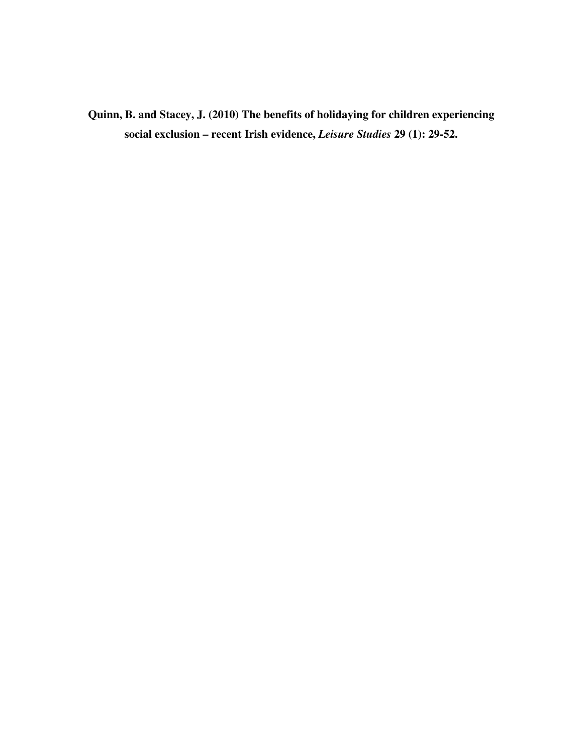**Quinn, B. and Stacey, J. (2010) The benefits of holidaying for children experiencing social exclusion – recent Irish evidence,** *Leisure Studies* **29 (1): 29-52.**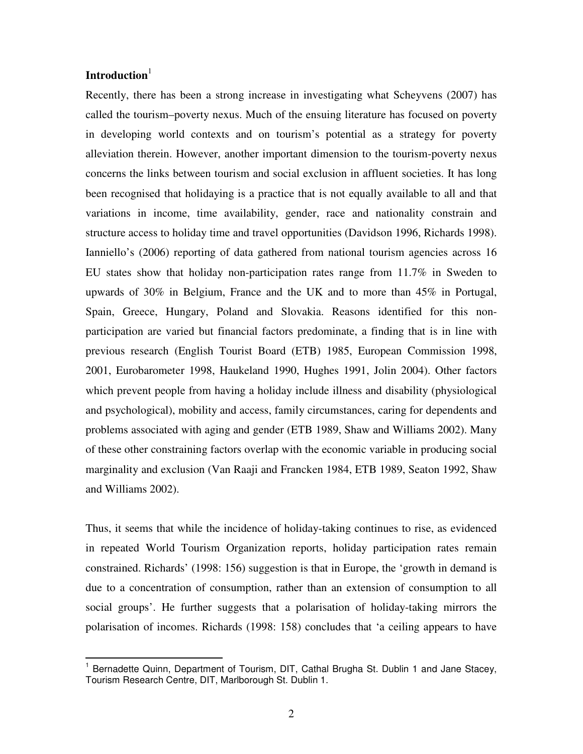# **Introduction**<sup>1</sup>

 $\overline{a}$ 

Recently, there has been a strong increase in investigating what Scheyvens (2007) has called the tourism–poverty nexus. Much of the ensuing literature has focused on poverty in developing world contexts and on tourism's potential as a strategy for poverty alleviation therein. However, another important dimension to the tourism-poverty nexus concerns the links between tourism and social exclusion in affluent societies. It has long been recognised that holidaying is a practice that is not equally available to all and that variations in income, time availability, gender, race and nationality constrain and structure access to holiday time and travel opportunities (Davidson 1996, Richards 1998). Ianniello's (2006) reporting of data gathered from national tourism agencies across 16 EU states show that holiday non-participation rates range from 11.7% in Sweden to upwards of 30% in Belgium, France and the UK and to more than 45% in Portugal, Spain, Greece, Hungary, Poland and Slovakia. Reasons identified for this nonparticipation are varied but financial factors predominate, a finding that is in line with previous research (English Tourist Board (ETB) 1985, European Commission 1998, 2001, Eurobarometer 1998, Haukeland 1990, Hughes 1991, Jolin 2004). Other factors which prevent people from having a holiday include illness and disability (physiological and psychological), mobility and access, family circumstances, caring for dependents and problems associated with aging and gender (ETB 1989, Shaw and Williams 2002). Many of these other constraining factors overlap with the economic variable in producing social marginality and exclusion (Van Raaji and Francken 1984, ETB 1989, Seaton 1992, Shaw and Williams 2002).

Thus, it seems that while the incidence of holiday-taking continues to rise, as evidenced in repeated World Tourism Organization reports, holiday participation rates remain constrained. Richards' (1998: 156) suggestion is that in Europe, the 'growth in demand is due to a concentration of consumption, rather than an extension of consumption to all social groups'. He further suggests that a polarisation of holiday-taking mirrors the polarisation of incomes. Richards (1998: 158) concludes that 'a ceiling appears to have

<sup>1</sup> Bernadette Quinn, Department of Tourism, DIT, Cathal Brugha St. Dublin 1 and Jane Stacey, Tourism Research Centre, DIT, Marlborough St. Dublin 1.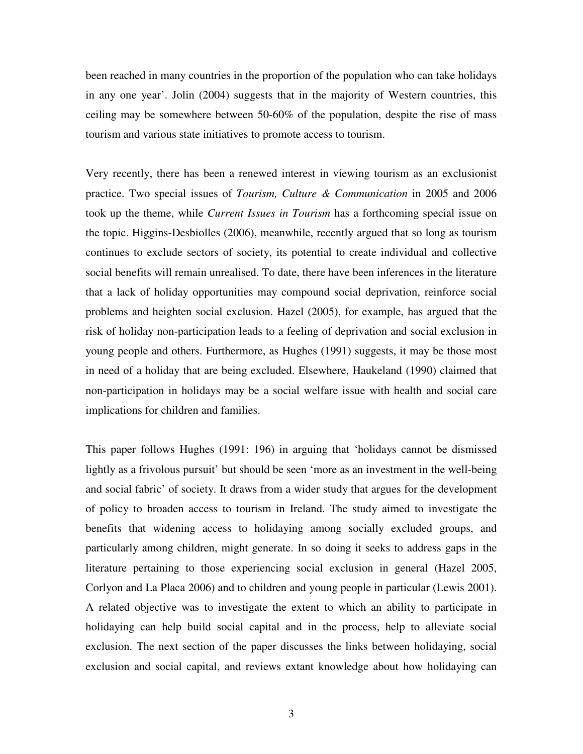been reached in many countries in the proportion of the population who can take holidays in any one year'. Jolin (2004) suggests that in the majority of Western countries, this ceiling may be somewhere between 50-60% of the population, despite the rise of mass tourism and various state initiatives to promote access to tourism.

Very recently, there has been a renewed interest in viewing tourism as an exclusionist practice. Two special issues of *Tourism, Culture & Communication* in 2005 and 2006 took up the theme, while *Current Issues in Tourism* has a forthcoming special issue on the topic. Higgins-Desbiolles (2006), meanwhile, recently argued that so long as tourism continues to exclude sectors of society, its potential to create individual and collective social benefits will remain unrealised. To date, there have been inferences in the literature that a lack of holiday opportunities may compound social deprivation, reinforce social problems and heighten social exclusion. Hazel (2005), for example, has argued that the risk of holiday non-participation leads to a feeling of deprivation and social exclusion in young people and others. Furthermore, as Hughes (1991) suggests, it may be those most in need of a holiday that are being excluded. Elsewhere, Haukeland (1990) claimed that non-participation in holidays may be a social welfare issue with health and social care implications for children and families.

This paper follows Hughes (1991: 196) in arguing that 'holidays cannot be dismissed lightly as a frivolous pursuit' but should be seen 'more as an investment in the well-being and social fabric' of society. It draws from a wider study that argues for the development of policy to broaden access to tourism in Ireland. The study aimed to investigate the benefits that widening access to holidaying among socially excluded groups, and particularly among children, might generate. In so doing it seeks to address gaps in the literature pertaining to those experiencing social exclusion in general (Hazel 2005, Corlyon and La Placa 2006) and to children and young people in particular (Lewis 2001). A related objective was to investigate the extent to which an ability to participate in holidaying can help build social capital and in the process, help to alleviate social exclusion. The next section of the paper discusses the links between holidaying, social exclusion and social capital, and reviews extant knowledge about how holidaying can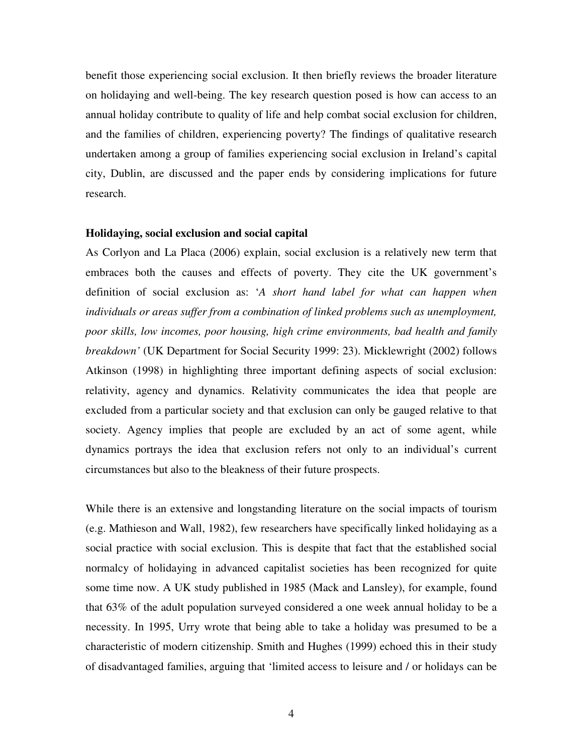benefit those experiencing social exclusion. It then briefly reviews the broader literature on holidaying and well-being. The key research question posed is how can access to an annual holiday contribute to quality of life and help combat social exclusion for children, and the families of children, experiencing poverty? The findings of qualitative research undertaken among a group of families experiencing social exclusion in Ireland's capital city, Dublin, are discussed and the paper ends by considering implications for future research.

#### **Holidaying, social exclusion and social capital**

As Corlyon and La Placa (2006) explain, social exclusion is a relatively new term that embraces both the causes and effects of poverty. They cite the UK government's definition of social exclusion as: '*A short hand label for what can happen when individuals or areas suffer from a combination of linked problems such as unemployment, poor skills, low incomes, poor housing, high crime environments, bad health and family breakdown'* (UK Department for Social Security 1999: 23). Micklewright (2002) follows Atkinson (1998) in highlighting three important defining aspects of social exclusion: relativity, agency and dynamics. Relativity communicates the idea that people are excluded from a particular society and that exclusion can only be gauged relative to that society. Agency implies that people are excluded by an act of some agent, while dynamics portrays the idea that exclusion refers not only to an individual's current circumstances but also to the bleakness of their future prospects.

While there is an extensive and longstanding literature on the social impacts of tourism (e.g. Mathieson and Wall, 1982), few researchers have specifically linked holidaying as a social practice with social exclusion. This is despite that fact that the established social normalcy of holidaying in advanced capitalist societies has been recognized for quite some time now. A UK study published in 1985 (Mack and Lansley), for example, found that 63% of the adult population surveyed considered a one week annual holiday to be a necessity. In 1995, Urry wrote that being able to take a holiday was presumed to be a characteristic of modern citizenship. Smith and Hughes (1999) echoed this in their study of disadvantaged families, arguing that 'limited access to leisure and / or holidays can be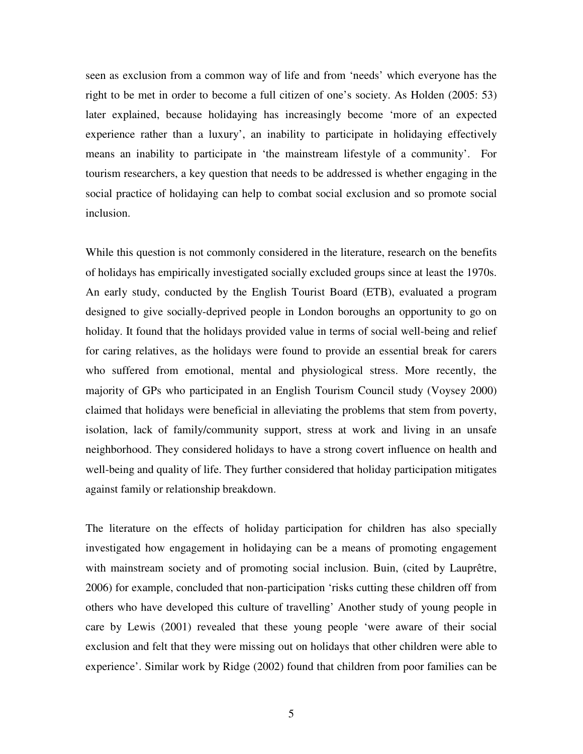seen as exclusion from a common way of life and from 'needs' which everyone has the right to be met in order to become a full citizen of one's society. As Holden (2005: 53) later explained, because holidaying has increasingly become 'more of an expected experience rather than a luxury', an inability to participate in holidaying effectively means an inability to participate in 'the mainstream lifestyle of a community'. For tourism researchers, a key question that needs to be addressed is whether engaging in the social practice of holidaying can help to combat social exclusion and so promote social inclusion.

While this question is not commonly considered in the literature, research on the benefits of holidays has empirically investigated socially excluded groups since at least the 1970s. An early study, conducted by the English Tourist Board (ETB), evaluated a program designed to give socially-deprived people in London boroughs an opportunity to go on holiday. It found that the holidays provided value in terms of social well-being and relief for caring relatives, as the holidays were found to provide an essential break for carers who suffered from emotional, mental and physiological stress. More recently, the majority of GPs who participated in an English Tourism Council study (Voysey 2000) claimed that holidays were beneficial in alleviating the problems that stem from poverty, isolation, lack of family/community support, stress at work and living in an unsafe neighborhood. They considered holidays to have a strong covert influence on health and well-being and quality of life. They further considered that holiday participation mitigates against family or relationship breakdown.

The literature on the effects of holiday participation for children has also specially investigated how engagement in holidaying can be a means of promoting engagement with mainstream society and of promoting social inclusion. Buin, (cited by Lauprêtre, 2006) for example, concluded that non-participation 'risks cutting these children off from others who have developed this culture of travelling' Another study of young people in care by Lewis (2001) revealed that these young people 'were aware of their social exclusion and felt that they were missing out on holidays that other children were able to experience'. Similar work by Ridge (2002) found that children from poor families can be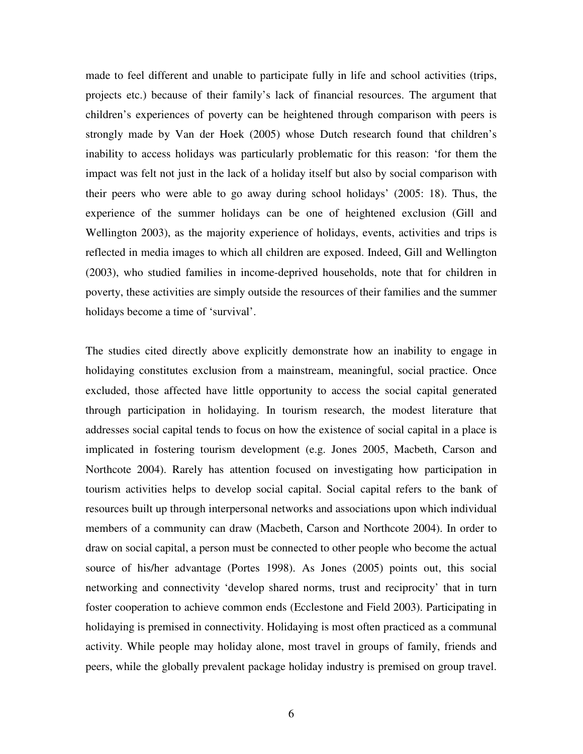made to feel different and unable to participate fully in life and school activities (trips, projects etc.) because of their family's lack of financial resources. The argument that children's experiences of poverty can be heightened through comparison with peers is strongly made by Van der Hoek (2005) whose Dutch research found that children's inability to access holidays was particularly problematic for this reason: 'for them the impact was felt not just in the lack of a holiday itself but also by social comparison with their peers who were able to go away during school holidays' (2005: 18). Thus, the experience of the summer holidays can be one of heightened exclusion (Gill and Wellington 2003), as the majority experience of holidays, events, activities and trips is reflected in media images to which all children are exposed. Indeed, Gill and Wellington (2003), who studied families in income-deprived households, note that for children in poverty, these activities are simply outside the resources of their families and the summer holidays become a time of 'survival'.

The studies cited directly above explicitly demonstrate how an inability to engage in holidaying constitutes exclusion from a mainstream, meaningful, social practice. Once excluded, those affected have little opportunity to access the social capital generated through participation in holidaying. In tourism research, the modest literature that addresses social capital tends to focus on how the existence of social capital in a place is implicated in fostering tourism development (e.g. Jones 2005, Macbeth, Carson and Northcote 2004). Rarely has attention focused on investigating how participation in tourism activities helps to develop social capital. Social capital refers to the bank of resources built up through interpersonal networks and associations upon which individual members of a community can draw (Macbeth, Carson and Northcote 2004). In order to draw on social capital, a person must be connected to other people who become the actual source of his/her advantage (Portes 1998). As Jones (2005) points out, this social networking and connectivity 'develop shared norms, trust and reciprocity' that in turn foster cooperation to achieve common ends (Ecclestone and Field 2003). Participating in holidaying is premised in connectivity. Holidaying is most often practiced as a communal activity. While people may holiday alone, most travel in groups of family, friends and peers, while the globally prevalent package holiday industry is premised on group travel.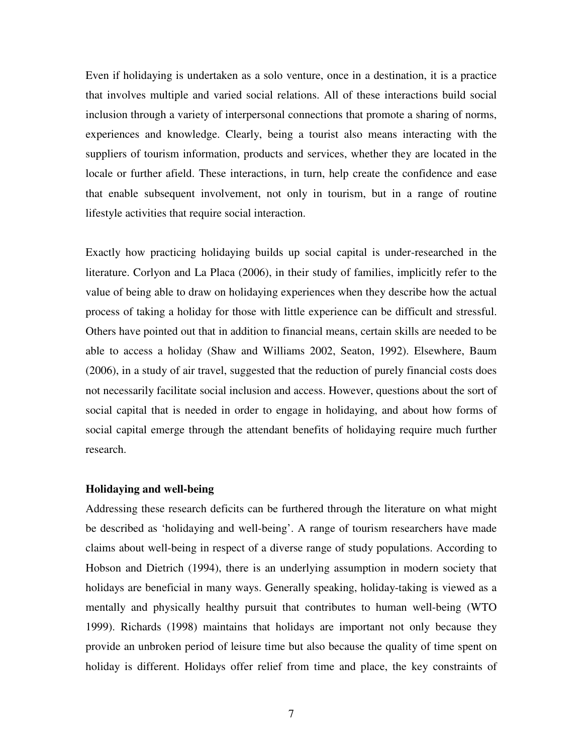Even if holidaying is undertaken as a solo venture, once in a destination, it is a practice that involves multiple and varied social relations. All of these interactions build social inclusion through a variety of interpersonal connections that promote a sharing of norms, experiences and knowledge. Clearly, being a tourist also means interacting with the suppliers of tourism information, products and services, whether they are located in the locale or further afield. These interactions, in turn, help create the confidence and ease that enable subsequent involvement, not only in tourism, but in a range of routine lifestyle activities that require social interaction.

Exactly how practicing holidaying builds up social capital is under-researched in the literature. Corlyon and La Placa (2006), in their study of families, implicitly refer to the value of being able to draw on holidaying experiences when they describe how the actual process of taking a holiday for those with little experience can be difficult and stressful. Others have pointed out that in addition to financial means, certain skills are needed to be able to access a holiday (Shaw and Williams 2002, Seaton, 1992). Elsewhere, Baum (2006), in a study of air travel, suggested that the reduction of purely financial costs does not necessarily facilitate social inclusion and access. However, questions about the sort of social capital that is needed in order to engage in holidaying, and about how forms of social capital emerge through the attendant benefits of holidaying require much further research.

#### **Holidaying and well-being**

Addressing these research deficits can be furthered through the literature on what might be described as 'holidaying and well-being'. A range of tourism researchers have made claims about well-being in respect of a diverse range of study populations. According to Hobson and Dietrich (1994), there is an underlying assumption in modern society that holidays are beneficial in many ways. Generally speaking, holiday-taking is viewed as a mentally and physically healthy pursuit that contributes to human well-being (WTO 1999). Richards (1998) maintains that holidays are important not only because they provide an unbroken period of leisure time but also because the quality of time spent on holiday is different. Holidays offer relief from time and place, the key constraints of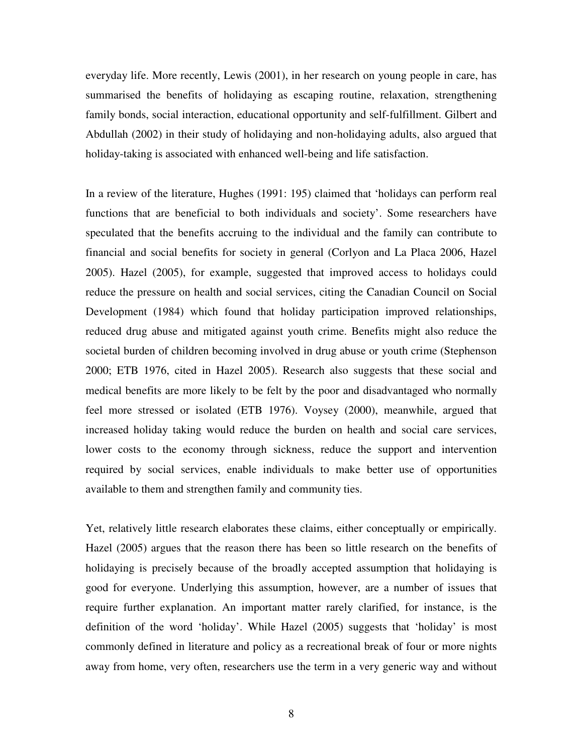everyday life. More recently, Lewis (2001), in her research on young people in care, has summarised the benefits of holidaying as escaping routine, relaxation, strengthening family bonds, social interaction, educational opportunity and self-fulfillment. Gilbert and Abdullah (2002) in their study of holidaying and non-holidaying adults, also argued that holiday-taking is associated with enhanced well-being and life satisfaction.

In a review of the literature, Hughes (1991: 195) claimed that 'holidays can perform real functions that are beneficial to both individuals and society'. Some researchers have speculated that the benefits accruing to the individual and the family can contribute to financial and social benefits for society in general (Corlyon and La Placa 2006, Hazel 2005). Hazel (2005), for example, suggested that improved access to holidays could reduce the pressure on health and social services, citing the Canadian Council on Social Development (1984) which found that holiday participation improved relationships, reduced drug abuse and mitigated against youth crime. Benefits might also reduce the societal burden of children becoming involved in drug abuse or youth crime (Stephenson 2000; ETB 1976, cited in Hazel 2005). Research also suggests that these social and medical benefits are more likely to be felt by the poor and disadvantaged who normally feel more stressed or isolated (ETB 1976). Voysey (2000), meanwhile, argued that increased holiday taking would reduce the burden on health and social care services, lower costs to the economy through sickness, reduce the support and intervention required by social services, enable individuals to make better use of opportunities available to them and strengthen family and community ties.

Yet, relatively little research elaborates these claims, either conceptually or empirically. Hazel (2005) argues that the reason there has been so little research on the benefits of holidaying is precisely because of the broadly accepted assumption that holidaying is good for everyone. Underlying this assumption, however, are a number of issues that require further explanation. An important matter rarely clarified, for instance, is the definition of the word 'holiday'. While Hazel (2005) suggests that 'holiday' is most commonly defined in literature and policy as a recreational break of four or more nights away from home, very often, researchers use the term in a very generic way and without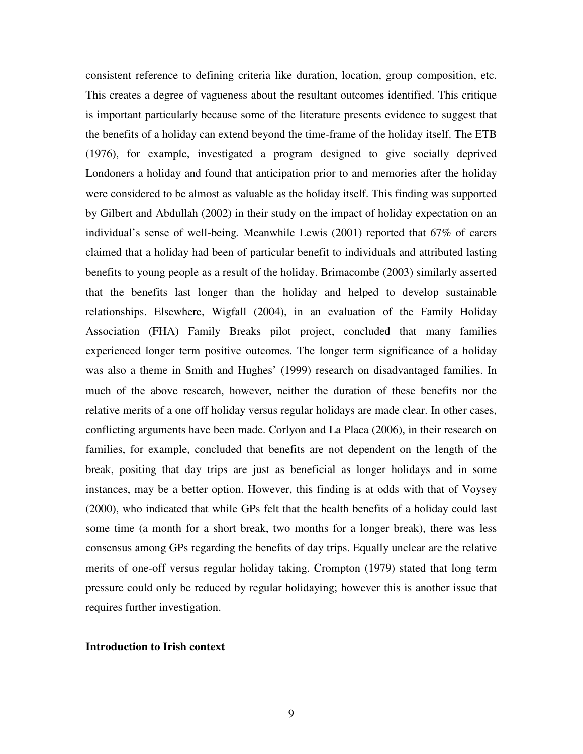consistent reference to defining criteria like duration, location, group composition, etc. This creates a degree of vagueness about the resultant outcomes identified. This critique is important particularly because some of the literature presents evidence to suggest that the benefits of a holiday can extend beyond the time-frame of the holiday itself. The ETB (1976), for example, investigated a program designed to give socially deprived Londoners a holiday and found that anticipation prior to and memories after the holiday were considered to be almost as valuable as the holiday itself. This finding was supported by Gilbert and Abdullah (2002) in their study on the impact of holiday expectation on an individual's sense of well-being*.* Meanwhile Lewis (2001) reported that 67% of carers claimed that a holiday had been of particular benefit to individuals and attributed lasting benefits to young people as a result of the holiday. Brimacombe (2003) similarly asserted that the benefits last longer than the holiday and helped to develop sustainable relationships. Elsewhere, Wigfall (2004), in an evaluation of the Family Holiday Association (FHA) Family Breaks pilot project, concluded that many families experienced longer term positive outcomes. The longer term significance of a holiday was also a theme in Smith and Hughes' (1999) research on disadvantaged families. In much of the above research, however, neither the duration of these benefits nor the relative merits of a one off holiday versus regular holidays are made clear. In other cases, conflicting arguments have been made. Corlyon and La Placa (2006), in their research on families, for example, concluded that benefits are not dependent on the length of the break, positing that day trips are just as beneficial as longer holidays and in some instances, may be a better option. However, this finding is at odds with that of Voysey (2000), who indicated that while GPs felt that the health benefits of a holiday could last some time (a month for a short break, two months for a longer break), there was less consensus among GPs regarding the benefits of day trips. Equally unclear are the relative merits of one-off versus regular holiday taking. Crompton (1979) stated that long term pressure could only be reduced by regular holidaying; however this is another issue that requires further investigation.

#### **Introduction to Irish context**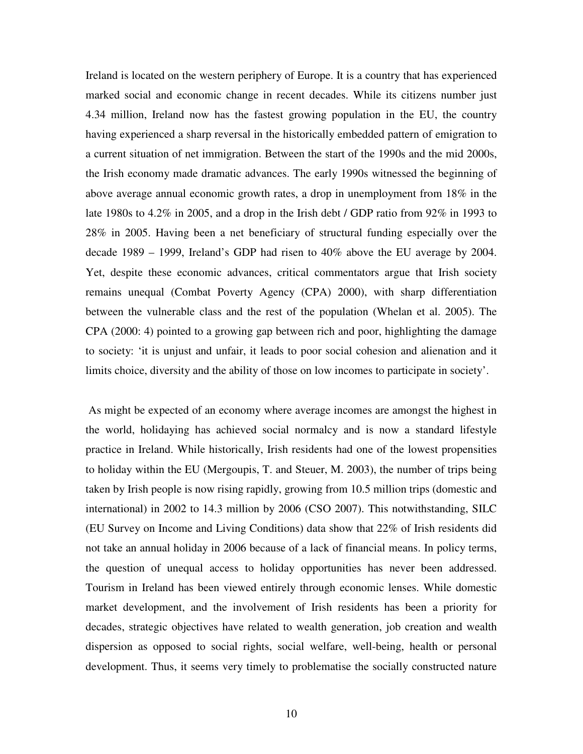Ireland is located on the western periphery of Europe. It is a country that has experienced marked social and economic change in recent decades. While its citizens number just 4.34 million, Ireland now has the fastest growing population in the EU, the country having experienced a sharp reversal in the historically embedded pattern of emigration to a current situation of net immigration. Between the start of the 1990s and the mid 2000s, the Irish economy made dramatic advances. The early 1990s witnessed the beginning of above average annual economic growth rates, a drop in unemployment from 18% in the late 1980s to 4.2% in 2005, and a drop in the Irish debt / GDP ratio from 92% in 1993 to 28% in 2005. Having been a net beneficiary of structural funding especially over the decade 1989 – 1999, Ireland's GDP had risen to 40% above the EU average by 2004. Yet, despite these economic advances, critical commentators argue that Irish society remains unequal (Combat Poverty Agency (CPA) 2000), with sharp differentiation between the vulnerable class and the rest of the population (Whelan et al. 2005). The CPA (2000: 4) pointed to a growing gap between rich and poor, highlighting the damage to society: 'it is unjust and unfair, it leads to poor social cohesion and alienation and it limits choice, diversity and the ability of those on low incomes to participate in society'.

 As might be expected of an economy where average incomes are amongst the highest in the world, holidaying has achieved social normalcy and is now a standard lifestyle practice in Ireland. While historically, Irish residents had one of the lowest propensities to holiday within the EU (Mergoupis, T. and Steuer, M. 2003), the number of trips being taken by Irish people is now rising rapidly, growing from 10.5 million trips (domestic and international) in 2002 to 14.3 million by 2006 (CSO 2007). This notwithstanding, SILC (EU Survey on Income and Living Conditions) data show that 22% of Irish residents did not take an annual holiday in 2006 because of a lack of financial means. In policy terms, the question of unequal access to holiday opportunities has never been addressed. Tourism in Ireland has been viewed entirely through economic lenses. While domestic market development, and the involvement of Irish residents has been a priority for decades, strategic objectives have related to wealth generation, job creation and wealth dispersion as opposed to social rights, social welfare, well-being, health or personal development. Thus, it seems very timely to problematise the socially constructed nature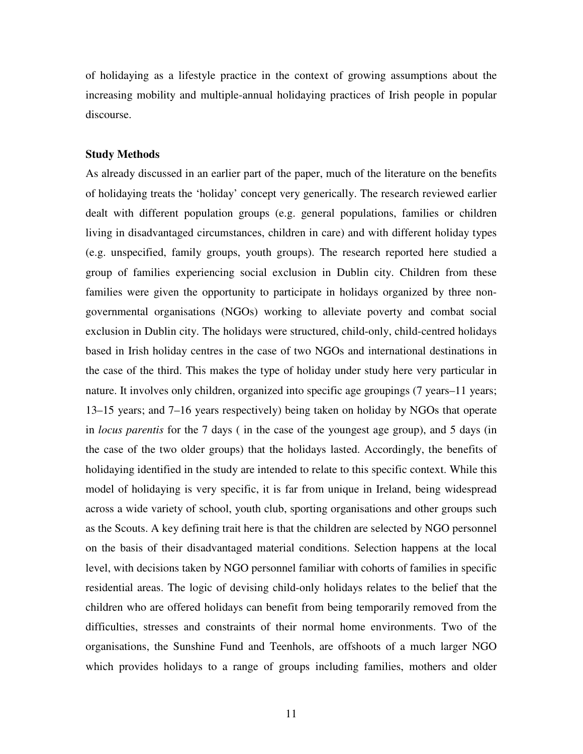of holidaying as a lifestyle practice in the context of growing assumptions about the increasing mobility and multiple-annual holidaying practices of Irish people in popular discourse.

#### **Study Methods**

As already discussed in an earlier part of the paper, much of the literature on the benefits of holidaying treats the 'holiday' concept very generically. The research reviewed earlier dealt with different population groups (e.g. general populations, families or children living in disadvantaged circumstances, children in care) and with different holiday types (e.g. unspecified, family groups, youth groups). The research reported here studied a group of families experiencing social exclusion in Dublin city. Children from these families were given the opportunity to participate in holidays organized by three nongovernmental organisations (NGOs) working to alleviate poverty and combat social exclusion in Dublin city. The holidays were structured, child-only, child-centred holidays based in Irish holiday centres in the case of two NGOs and international destinations in the case of the third. This makes the type of holiday under study here very particular in nature. It involves only children, organized into specific age groupings (7 years–11 years; 13–15 years; and 7–16 years respectively) being taken on holiday by NGOs that operate in *locus parentis* for the 7 days ( in the case of the youngest age group), and 5 days (in the case of the two older groups) that the holidays lasted. Accordingly, the benefits of holidaying identified in the study are intended to relate to this specific context. While this model of holidaying is very specific, it is far from unique in Ireland, being widespread across a wide variety of school, youth club, sporting organisations and other groups such as the Scouts. A key defining trait here is that the children are selected by NGO personnel on the basis of their disadvantaged material conditions. Selection happens at the local level, with decisions taken by NGO personnel familiar with cohorts of families in specific residential areas. The logic of devising child-only holidays relates to the belief that the children who are offered holidays can benefit from being temporarily removed from the difficulties, stresses and constraints of their normal home environments. Two of the organisations, the Sunshine Fund and Teenhols, are offshoots of a much larger NGO which provides holidays to a range of groups including families, mothers and older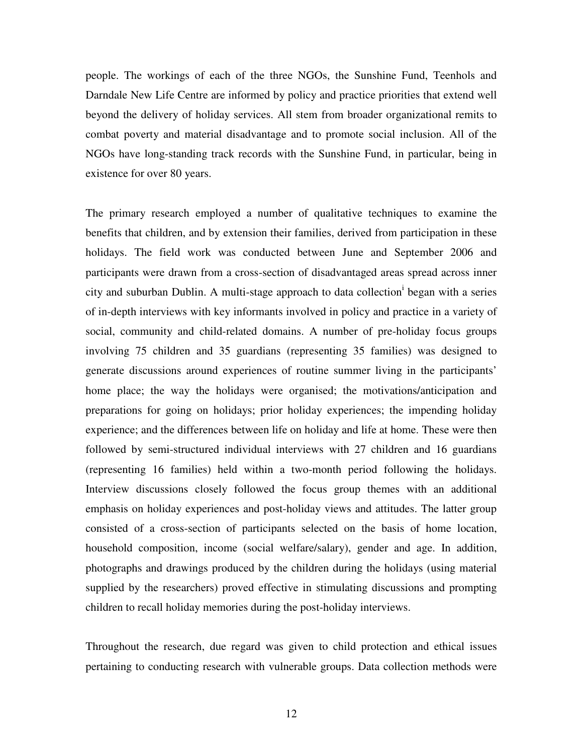people. The workings of each of the three NGOs, the Sunshine Fund, Teenhols and Darndale New Life Centre are informed by policy and practice priorities that extend well beyond the delivery of holiday services. All stem from broader organizational remits to combat poverty and material disadvantage and to promote social inclusion. All of the NGOs have long-standing track records with the Sunshine Fund, in particular, being in existence for over 80 years.

The primary research employed a number of qualitative techniques to examine the benefits that children, and by extension their families, derived from participation in these holidays. The field work was conducted between June and September 2006 and participants were drawn from a cross-section of disadvantaged areas spread across inner city and suburban Dublin. A multi-stage approach to data collection began with a series of in-depth interviews with key informants involved in policy and practice in a variety of social, community and child-related domains. A number of pre-holiday focus groups involving 75 children and 35 guardians (representing 35 families) was designed to generate discussions around experiences of routine summer living in the participants' home place; the way the holidays were organised; the motivations/anticipation and preparations for going on holidays; prior holiday experiences; the impending holiday experience; and the differences between life on holiday and life at home. These were then followed by semi-structured individual interviews with 27 children and 16 guardians (representing 16 families) held within a two-month period following the holidays. Interview discussions closely followed the focus group themes with an additional emphasis on holiday experiences and post-holiday views and attitudes. The latter group consisted of a cross-section of participants selected on the basis of home location, household composition, income (social welfare/salary), gender and age. In addition, photographs and drawings produced by the children during the holidays (using material supplied by the researchers) proved effective in stimulating discussions and prompting children to recall holiday memories during the post-holiday interviews.

Throughout the research, due regard was given to child protection and ethical issues pertaining to conducting research with vulnerable groups. Data collection methods were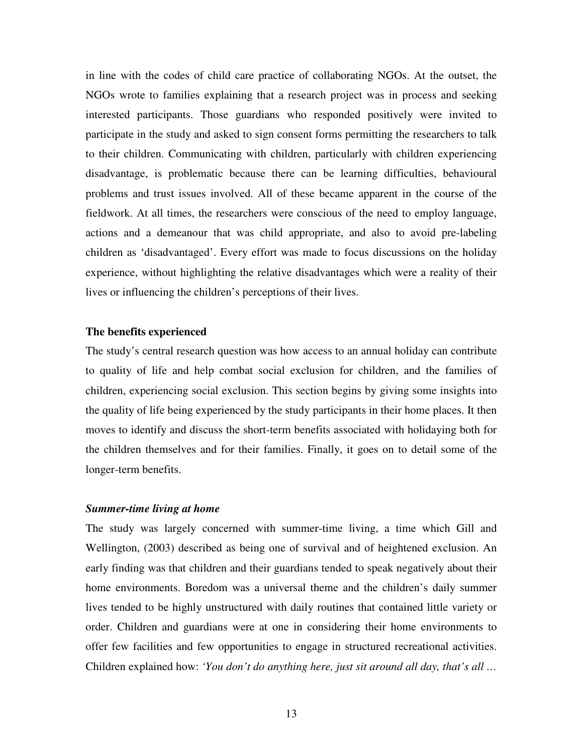in line with the codes of child care practice of collaborating NGOs. At the outset, the NGOs wrote to families explaining that a research project was in process and seeking interested participants. Those guardians who responded positively were invited to participate in the study and asked to sign consent forms permitting the researchers to talk to their children. Communicating with children, particularly with children experiencing disadvantage, is problematic because there can be learning difficulties, behavioural problems and trust issues involved. All of these became apparent in the course of the fieldwork. At all times, the researchers were conscious of the need to employ language, actions and a demeanour that was child appropriate, and also to avoid pre-labeling children as 'disadvantaged'. Every effort was made to focus discussions on the holiday experience, without highlighting the relative disadvantages which were a reality of their lives or influencing the children's perceptions of their lives.

#### **The benefits experienced**

The study's central research question was how access to an annual holiday can contribute to quality of life and help combat social exclusion for children, and the families of children, experiencing social exclusion. This section begins by giving some insights into the quality of life being experienced by the study participants in their home places. It then moves to identify and discuss the short-term benefits associated with holidaying both for the children themselves and for their families. Finally, it goes on to detail some of the longer-term benefits.

#### *Summer-time living at home*

The study was largely concerned with summer-time living, a time which Gill and Wellington, (2003) described as being one of survival and of heightened exclusion. An early finding was that children and their guardians tended to speak negatively about their home environments. Boredom was a universal theme and the children's daily summer lives tended to be highly unstructured with daily routines that contained little variety or order. Children and guardians were at one in considering their home environments to offer few facilities and few opportunities to engage in structured recreational activities. Children explained how: *'You don't do anything here, just sit around all day, that's all …*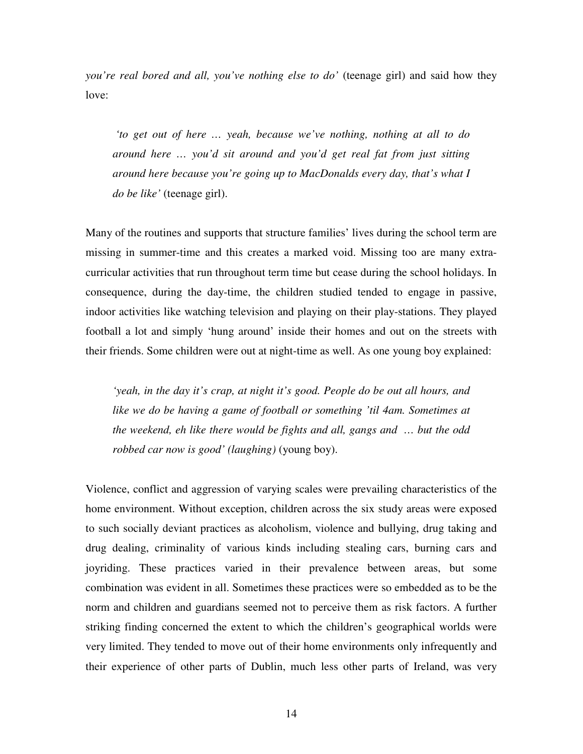*you're real bored and all, you've nothing else to do'* (teenage girl) and said how they love:

 *'to get out of here … yeah, because we've nothing, nothing at all to do around here … you'd sit around and you'd get real fat from just sitting around here because you're going up to MacDonalds every day, that's what I do be like'* (teenage girl).

Many of the routines and supports that structure families' lives during the school term are missing in summer-time and this creates a marked void. Missing too are many extracurricular activities that run throughout term time but cease during the school holidays. In consequence, during the day-time, the children studied tended to engage in passive, indoor activities like watching television and playing on their play-stations. They played football a lot and simply 'hung around' inside their homes and out on the streets with their friends. Some children were out at night-time as well. As one young boy explained:

*'yeah, in the day it's crap, at night it's good. People do be out all hours, and like we do be having a game of football or something 'til 4am. Sometimes at the weekend, eh like there would be fights and all, gangs and … but the odd robbed car now is good' (laughing)* (young boy).

Violence, conflict and aggression of varying scales were prevailing characteristics of the home environment. Without exception, children across the six study areas were exposed to such socially deviant practices as alcoholism, violence and bullying, drug taking and drug dealing, criminality of various kinds including stealing cars, burning cars and joyriding. These practices varied in their prevalence between areas, but some combination was evident in all. Sometimes these practices were so embedded as to be the norm and children and guardians seemed not to perceive them as risk factors. A further striking finding concerned the extent to which the children's geographical worlds were very limited. They tended to move out of their home environments only infrequently and their experience of other parts of Dublin, much less other parts of Ireland, was very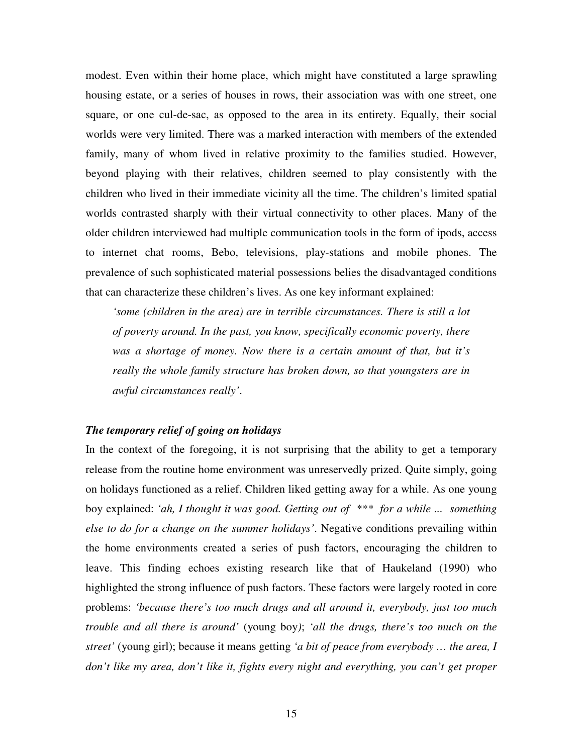modest. Even within their home place, which might have constituted a large sprawling housing estate, or a series of houses in rows, their association was with one street, one square, or one cul-de-sac, as opposed to the area in its entirety. Equally, their social worlds were very limited. There was a marked interaction with members of the extended family, many of whom lived in relative proximity to the families studied. However, beyond playing with their relatives, children seemed to play consistently with the children who lived in their immediate vicinity all the time. The children's limited spatial worlds contrasted sharply with their virtual connectivity to other places. Many of the older children interviewed had multiple communication tools in the form of ipods, access to internet chat rooms, Bebo, televisions, play-stations and mobile phones. The prevalence of such sophisticated material possessions belies the disadvantaged conditions that can characterize these children's lives. As one key informant explained:

*'some (children in the area) are in terrible circumstances. There is still a lot of poverty around. In the past, you know, specifically economic poverty, there was a shortage of money. Now there is a certain amount of that, but it's really the whole family structure has broken down, so that youngsters are in awful circumstances really'*.

#### *The temporary relief of going on holidays*

In the context of the foregoing, it is not surprising that the ability to get a temporary release from the routine home environment was unreservedly prized. Quite simply, going on holidays functioned as a relief. Children liked getting away for a while. As one young boy explained: *'ah, I thought it was good. Getting out of \*\*\* for a while ... something else to do for a change on the summer holidays'*. Negative conditions prevailing within the home environments created a series of push factors, encouraging the children to leave. This finding echoes existing research like that of Haukeland (1990) who highlighted the strong influence of push factors. These factors were largely rooted in core problems: *'because there's too much drugs and all around it, everybody, just too much trouble and all there is around'* (young boy*)*; *'all the drugs, there's too much on the street'* (young girl); because it means getting *'a bit of peace from everybody … the area, I don't like my area, don't like it, fights every night and everything, you can't get proper*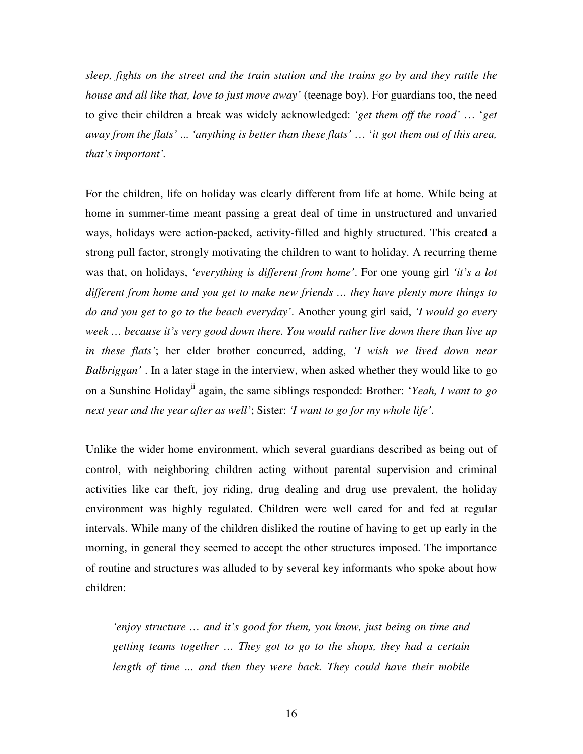*sleep, fights on the street and the train station and the trains go by and they rattle the house and all like that, love to just move away'* (teenage boy). For guardians too, the need to give their children a break was widely acknowledged: *'get them off the road'* … '*get away from the flats'* ... *'anything is better than these flats'* … '*it got them out of this area, that's important'.*

For the children, life on holiday was clearly different from life at home. While being at home in summer-time meant passing a great deal of time in unstructured and unvaried ways, holidays were action-packed, activity-filled and highly structured. This created a strong pull factor, strongly motivating the children to want to holiday. A recurring theme was that, on holidays, *'everything is different from home'*. For one young girl *'it's a lot different from home and you get to make new friends … they have plenty more things to do and you get to go to the beach everyday'*. Another young girl said, *'I would go every week … because it's very good down there. You would rather live down there than live up in these flats'*; her elder brother concurred, adding, *'I wish we lived down near Balbriggan'* . In a later stage in the interview, when asked whether they would like to go on a Sunshine Holidayii again, the same siblings responded: Brother: '*Yeah, I want to go next year and the year after as well'*; Sister: *'I want to go for my whole life'.*

Unlike the wider home environment, which several guardians described as being out of control, with neighboring children acting without parental supervision and criminal activities like car theft, joy riding, drug dealing and drug use prevalent, the holiday environment was highly regulated. Children were well cared for and fed at regular intervals. While many of the children disliked the routine of having to get up early in the morning, in general they seemed to accept the other structures imposed. The importance of routine and structures was alluded to by several key informants who spoke about how children:

*'enjoy structure … and it's good for them, you know, just being on time and getting teams together … They got to go to the shops, they had a certain length of time ... and then they were back. They could have their mobile*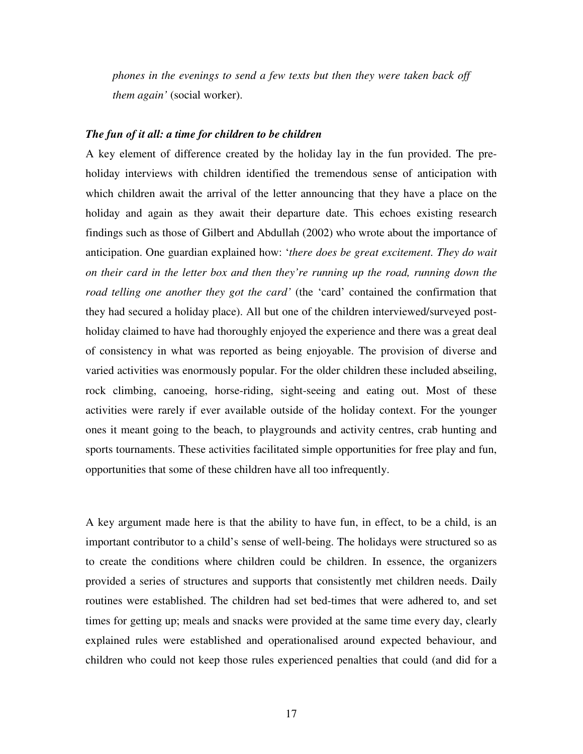*phones in the evenings to send a few texts but then they were taken back off them again'* (social worker).

#### *The fun of it all: a time for children to be children*

A key element of difference created by the holiday lay in the fun provided. The preholiday interviews with children identified the tremendous sense of anticipation with which children await the arrival of the letter announcing that they have a place on the holiday and again as they await their departure date. This echoes existing research findings such as those of Gilbert and Abdullah (2002) who wrote about the importance of anticipation. One guardian explained how: '*there does be great excitement. They do wait on their card in the letter box and then they're running up the road, running down the road telling one another they got the card'* (the 'card' contained the confirmation that they had secured a holiday place). All but one of the children interviewed/surveyed postholiday claimed to have had thoroughly enjoyed the experience and there was a great deal of consistency in what was reported as being enjoyable. The provision of diverse and varied activities was enormously popular. For the older children these included abseiling, rock climbing, canoeing, horse-riding, sight-seeing and eating out. Most of these activities were rarely if ever available outside of the holiday context. For the younger ones it meant going to the beach, to playgrounds and activity centres, crab hunting and sports tournaments. These activities facilitated simple opportunities for free play and fun, opportunities that some of these children have all too infrequently.

A key argument made here is that the ability to have fun, in effect, to be a child, is an important contributor to a child's sense of well-being. The holidays were structured so as to create the conditions where children could be children. In essence, the organizers provided a series of structures and supports that consistently met children needs. Daily routines were established. The children had set bed-times that were adhered to, and set times for getting up; meals and snacks were provided at the same time every day, clearly explained rules were established and operationalised around expected behaviour, and children who could not keep those rules experienced penalties that could (and did for a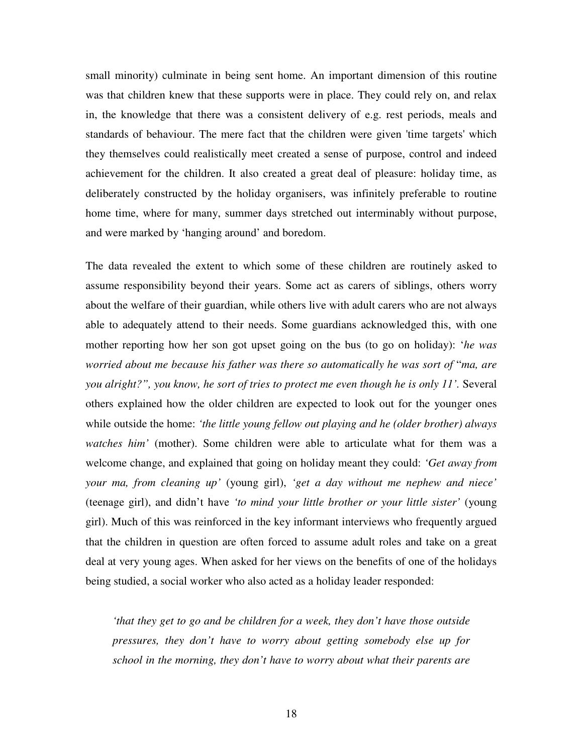small minority) culminate in being sent home. An important dimension of this routine was that children knew that these supports were in place. They could rely on, and relax in, the knowledge that there was a consistent delivery of e.g. rest periods, meals and standards of behaviour. The mere fact that the children were given 'time targets' which they themselves could realistically meet created a sense of purpose, control and indeed achievement for the children. It also created a great deal of pleasure: holiday time, as deliberately constructed by the holiday organisers, was infinitely preferable to routine home time, where for many, summer days stretched out interminably without purpose, and were marked by 'hanging around' and boredom.

The data revealed the extent to which some of these children are routinely asked to assume responsibility beyond their years. Some act as carers of siblings, others worry about the welfare of their guardian, while others live with adult carers who are not always able to adequately attend to their needs. Some guardians acknowledged this, with one mother reporting how her son got upset going on the bus (to go on holiday): '*he was worried about me because his father was there so automatically he was sort of* "*ma, are you alright?", you know, he sort of tries to protect me even though he is only 11'.* Several others explained how the older children are expected to look out for the younger ones while outside the home: *'the little young fellow out playing and he (older brother) always watches him'* (mother). Some children were able to articulate what for them was a welcome change, and explained that going on holiday meant they could: *'Get away from your ma, from cleaning up'* (young girl), *'get a day without me nephew and niece'* (teenage girl), and didn't have *'to mind your little brother or your little sister'* (young girl). Much of this was reinforced in the key informant interviews who frequently argued that the children in question are often forced to assume adult roles and take on a great deal at very young ages. When asked for her views on the benefits of one of the holidays being studied, a social worker who also acted as a holiday leader responded:

*'that they get to go and be children for a week, they don't have those outside pressures, they don't have to worry about getting somebody else up for school in the morning, they don't have to worry about what their parents are*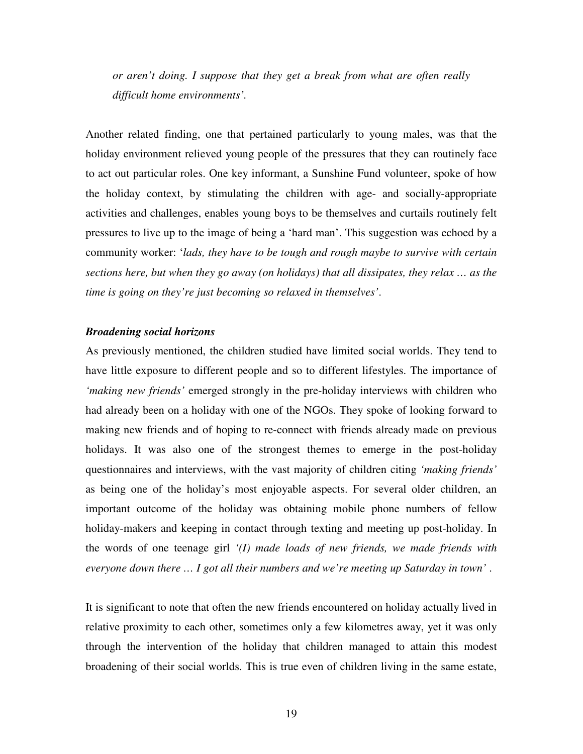*or aren't doing. I suppose that they get a break from what are often really difficult home environments'.* 

Another related finding, one that pertained particularly to young males, was that the holiday environment relieved young people of the pressures that they can routinely face to act out particular roles. One key informant, a Sunshine Fund volunteer, spoke of how the holiday context, by stimulating the children with age- and socially-appropriate activities and challenges, enables young boys to be themselves and curtails routinely felt pressures to live up to the image of being a 'hard man'. This suggestion was echoed by a community worker: '*lads, they have to be tough and rough maybe to survive with certain sections here, but when they go away (on holidays) that all dissipates, they relax … as the time is going on they're just becoming so relaxed in themselves'*.

### *Broadening social horizons*

As previously mentioned, the children studied have limited social worlds. They tend to have little exposure to different people and so to different lifestyles. The importance of *'making new friends'* emerged strongly in the pre-holiday interviews with children who had already been on a holiday with one of the NGOs. They spoke of looking forward to making new friends and of hoping to re-connect with friends already made on previous holidays. It was also one of the strongest themes to emerge in the post-holiday questionnaires and interviews, with the vast majority of children citing *'making friends'* as being one of the holiday's most enjoyable aspects. For several older children, an important outcome of the holiday was obtaining mobile phone numbers of fellow holiday-makers and keeping in contact through texting and meeting up post-holiday. In the words of one teenage girl *'(I) made loads of new friends, we made friends with everyone down there … I got all their numbers and we're meeting up Saturday in town'* .

It is significant to note that often the new friends encountered on holiday actually lived in relative proximity to each other, sometimes only a few kilometres away, yet it was only through the intervention of the holiday that children managed to attain this modest broadening of their social worlds. This is true even of children living in the same estate,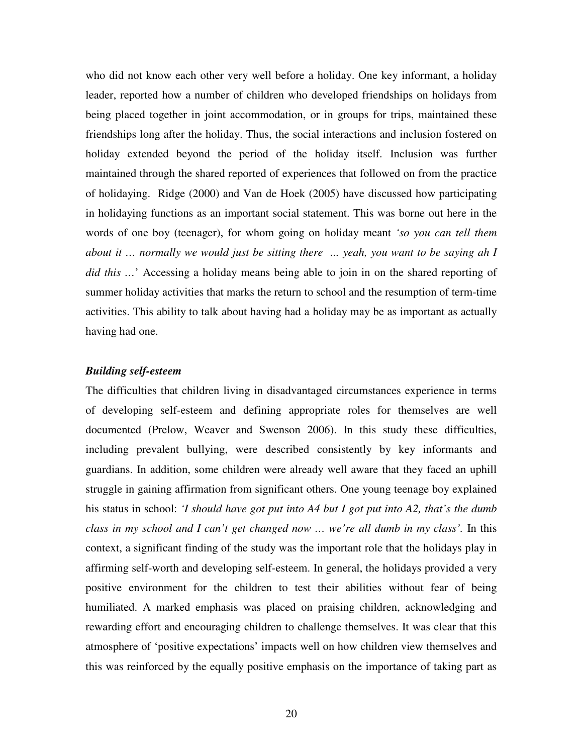who did not know each other very well before a holiday. One key informant, a holiday leader, reported how a number of children who developed friendships on holidays from being placed together in joint accommodation, or in groups for trips, maintained these friendships long after the holiday. Thus, the social interactions and inclusion fostered on holiday extended beyond the period of the holiday itself. Inclusion was further maintained through the shared reported of experiences that followed on from the practice of holidaying. Ridge (2000) and Van de Hoek (2005) have discussed how participating in holidaying functions as an important social statement. This was borne out here in the words of one boy (teenager), for whom going on holiday meant *'so you can tell them about it … normally we would just be sitting there ... yeah, you want to be saying ah I did this …*' Accessing a holiday means being able to join in on the shared reporting of summer holiday activities that marks the return to school and the resumption of term-time activities. This ability to talk about having had a holiday may be as important as actually having had one.

# *Building self-esteem*

The difficulties that children living in disadvantaged circumstances experience in terms of developing self-esteem and defining appropriate roles for themselves are well documented (Prelow, Weaver and Swenson 2006). In this study these difficulties, including prevalent bullying, were described consistently by key informants and guardians. In addition, some children were already well aware that they faced an uphill struggle in gaining affirmation from significant others. One young teenage boy explained his status in school: *'I should have got put into A4 but I got put into A2, that's the dumb class in my school and I can't get changed now … we're all dumb in my class'.* In this context, a significant finding of the study was the important role that the holidays play in affirming self-worth and developing self-esteem. In general, the holidays provided a very positive environment for the children to test their abilities without fear of being humiliated. A marked emphasis was placed on praising children, acknowledging and rewarding effort and encouraging children to challenge themselves. It was clear that this atmosphere of 'positive expectations' impacts well on how children view themselves and this was reinforced by the equally positive emphasis on the importance of taking part as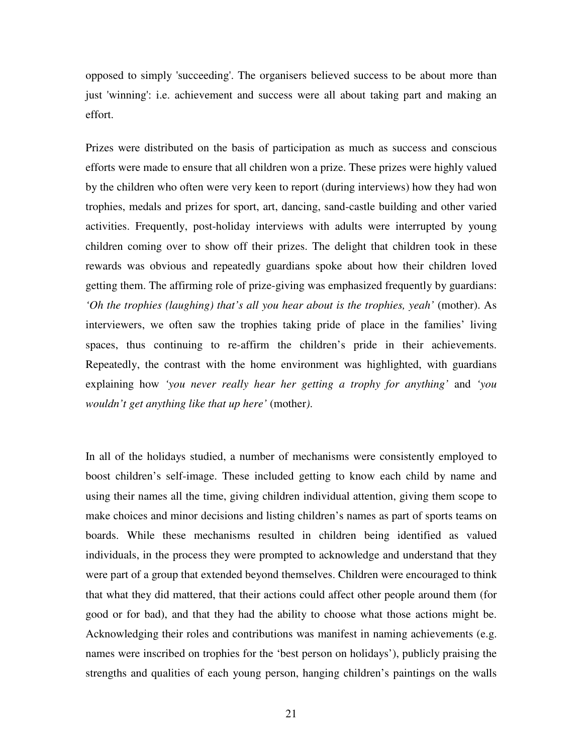opposed to simply 'succeeding'. The organisers believed success to be about more than just 'winning': i.e. achievement and success were all about taking part and making an effort.

Prizes were distributed on the basis of participation as much as success and conscious efforts were made to ensure that all children won a prize. These prizes were highly valued by the children who often were very keen to report (during interviews) how they had won trophies, medals and prizes for sport, art, dancing, sand-castle building and other varied activities. Frequently, post-holiday interviews with adults were interrupted by young children coming over to show off their prizes. The delight that children took in these rewards was obvious and repeatedly guardians spoke about how their children loved getting them. The affirming role of prize-giving was emphasized frequently by guardians: *'Oh the trophies (laughing) that's all you hear about is the trophies, yeah'* (mother). As interviewers, we often saw the trophies taking pride of place in the families' living spaces, thus continuing to re-affirm the children's pride in their achievements. Repeatedly, the contrast with the home environment was highlighted, with guardians explaining how *'you never really hear her getting a trophy for anything'* and *'you wouldn't get anything like that up here'* (mother*)*.

In all of the holidays studied, a number of mechanisms were consistently employed to boost children's self-image. These included getting to know each child by name and using their names all the time, giving children individual attention, giving them scope to make choices and minor decisions and listing children's names as part of sports teams on boards. While these mechanisms resulted in children being identified as valued individuals, in the process they were prompted to acknowledge and understand that they were part of a group that extended beyond themselves. Children were encouraged to think that what they did mattered, that their actions could affect other people around them (for good or for bad), and that they had the ability to choose what those actions might be. Acknowledging their roles and contributions was manifest in naming achievements (e.g. names were inscribed on trophies for the 'best person on holidays'), publicly praising the strengths and qualities of each young person, hanging children's paintings on the walls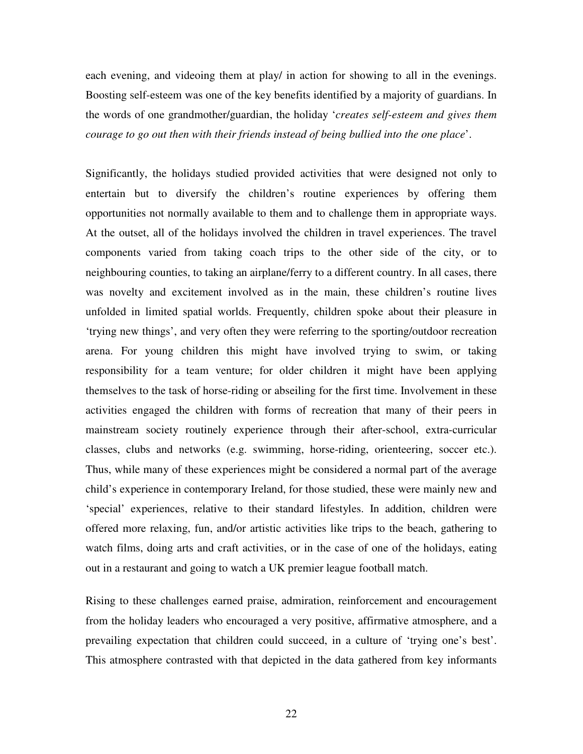each evening, and videoing them at play/ in action for showing to all in the evenings. Boosting self-esteem was one of the key benefits identified by a majority of guardians. In the words of one grandmother/guardian, the holiday '*creates self-esteem and gives them courage to go out then with their friends instead of being bullied into the one place*'.

Significantly, the holidays studied provided activities that were designed not only to entertain but to diversify the children's routine experiences by offering them opportunities not normally available to them and to challenge them in appropriate ways. At the outset, all of the holidays involved the children in travel experiences. The travel components varied from taking coach trips to the other side of the city, or to neighbouring counties, to taking an airplane/ferry to a different country. In all cases, there was novelty and excitement involved as in the main, these children's routine lives unfolded in limited spatial worlds. Frequently, children spoke about their pleasure in 'trying new things', and very often they were referring to the sporting/outdoor recreation arena. For young children this might have involved trying to swim, or taking responsibility for a team venture; for older children it might have been applying themselves to the task of horse-riding or abseiling for the first time. Involvement in these activities engaged the children with forms of recreation that many of their peers in mainstream society routinely experience through their after-school, extra-curricular classes, clubs and networks (e.g. swimming, horse-riding, orienteering, soccer etc.). Thus, while many of these experiences might be considered a normal part of the average child's experience in contemporary Ireland, for those studied, these were mainly new and 'special' experiences, relative to their standard lifestyles. In addition, children were offered more relaxing, fun, and/or artistic activities like trips to the beach, gathering to watch films, doing arts and craft activities, or in the case of one of the holidays, eating out in a restaurant and going to watch a UK premier league football match.

Rising to these challenges earned praise, admiration, reinforcement and encouragement from the holiday leaders who encouraged a very positive, affirmative atmosphere, and a prevailing expectation that children could succeed, in a culture of 'trying one's best'. This atmosphere contrasted with that depicted in the data gathered from key informants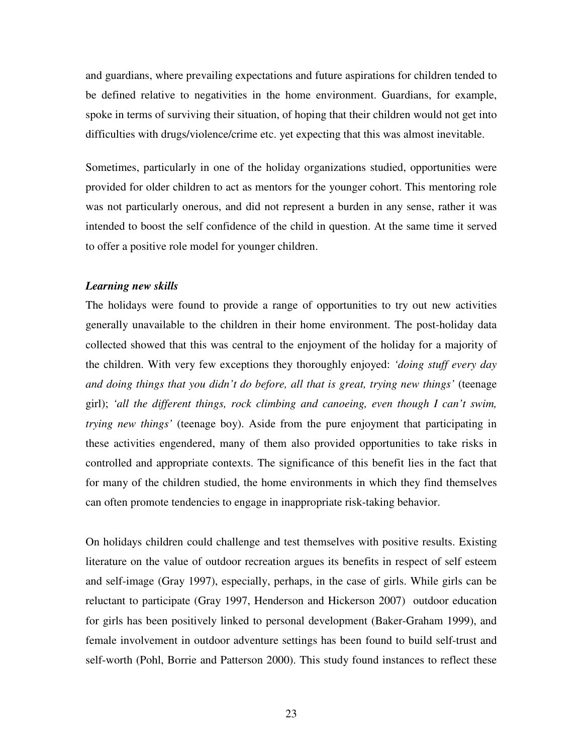and guardians, where prevailing expectations and future aspirations for children tended to be defined relative to negativities in the home environment. Guardians, for example, spoke in terms of surviving their situation, of hoping that their children would not get into difficulties with drugs/violence/crime etc. yet expecting that this was almost inevitable.

Sometimes, particularly in one of the holiday organizations studied, opportunities were provided for older children to act as mentors for the younger cohort. This mentoring role was not particularly onerous, and did not represent a burden in any sense, rather it was intended to boost the self confidence of the child in question. At the same time it served to offer a positive role model for younger children.

#### *Learning new skills*

The holidays were found to provide a range of opportunities to try out new activities generally unavailable to the children in their home environment. The post-holiday data collected showed that this was central to the enjoyment of the holiday for a majority of the children. With very few exceptions they thoroughly enjoyed: *'doing stuff every day and doing things that you didn't do before, all that is great, trying new things'* (teenage girl); *'all the different things, rock climbing and canoeing, even though I can't swim, trying new things'* (teenage boy). Aside from the pure enjoyment that participating in these activities engendered, many of them also provided opportunities to take risks in controlled and appropriate contexts. The significance of this benefit lies in the fact that for many of the children studied, the home environments in which they find themselves can often promote tendencies to engage in inappropriate risk-taking behavior.

On holidays children could challenge and test themselves with positive results. Existing literature on the value of outdoor recreation argues its benefits in respect of self esteem and self-image (Gray 1997), especially, perhaps, in the case of girls. While girls can be reluctant to participate (Gray 1997, Henderson and Hickerson 2007) outdoor education for girls has been positively linked to personal development (Baker-Graham 1999), and female involvement in outdoor adventure settings has been found to build self-trust and self-worth (Pohl, Borrie and Patterson 2000). This study found instances to reflect these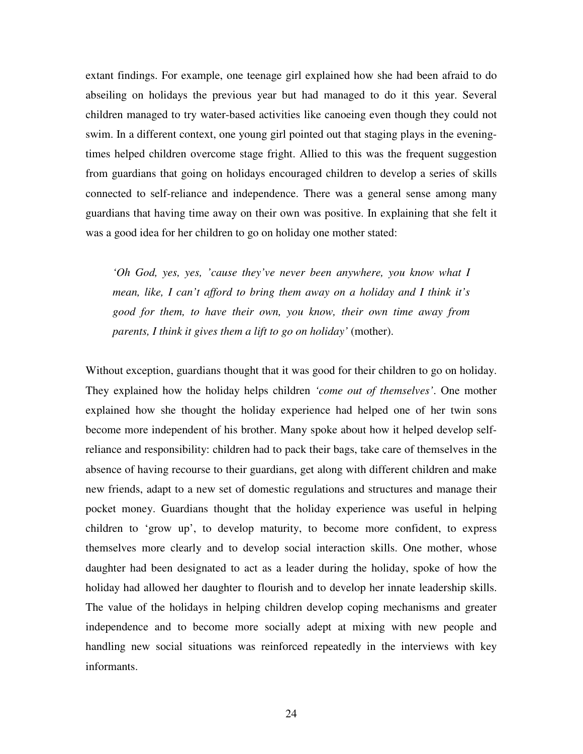extant findings. For example, one teenage girl explained how she had been afraid to do abseiling on holidays the previous year but had managed to do it this year. Several children managed to try water-based activities like canoeing even though they could not swim. In a different context, one young girl pointed out that staging plays in the eveningtimes helped children overcome stage fright. Allied to this was the frequent suggestion from guardians that going on holidays encouraged children to develop a series of skills connected to self-reliance and independence. There was a general sense among many guardians that having time away on their own was positive. In explaining that she felt it was a good idea for her children to go on holiday one mother stated:

*'Oh God, yes, yes, 'cause they've never been anywhere, you know what I mean, like, I can't afford to bring them away on a holiday and I think it's good for them, to have their own, you know, their own time away from parents, I think it gives them a lift to go on holiday'* (mother).

Without exception, guardians thought that it was good for their children to go on holiday. They explained how the holiday helps children *'come out of themselves'*. One mother explained how she thought the holiday experience had helped one of her twin sons become more independent of his brother. Many spoke about how it helped develop selfreliance and responsibility: children had to pack their bags, take care of themselves in the absence of having recourse to their guardians, get along with different children and make new friends, adapt to a new set of domestic regulations and structures and manage their pocket money. Guardians thought that the holiday experience was useful in helping children to 'grow up', to develop maturity, to become more confident, to express themselves more clearly and to develop social interaction skills. One mother, whose daughter had been designated to act as a leader during the holiday, spoke of how the holiday had allowed her daughter to flourish and to develop her innate leadership skills. The value of the holidays in helping children develop coping mechanisms and greater independence and to become more socially adept at mixing with new people and handling new social situations was reinforced repeatedly in the interviews with key informants.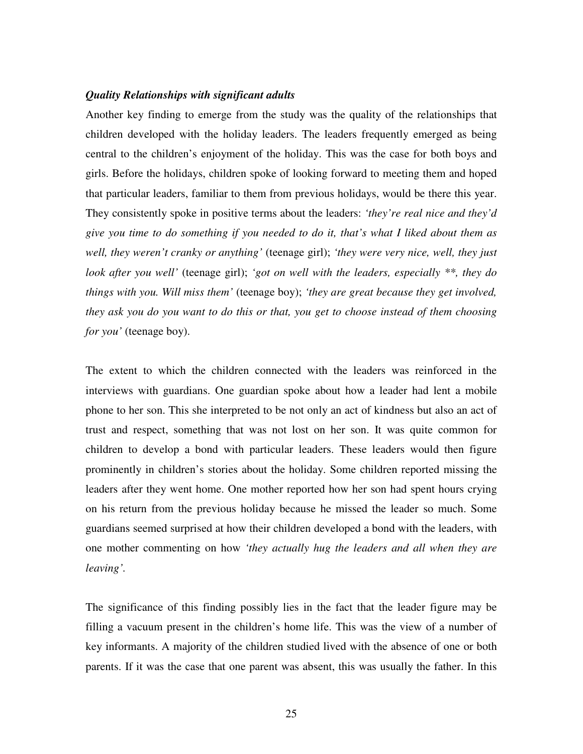#### *Quality Relationships with significant adults*

Another key finding to emerge from the study was the quality of the relationships that children developed with the holiday leaders. The leaders frequently emerged as being central to the children's enjoyment of the holiday. This was the case for both boys and girls. Before the holidays, children spoke of looking forward to meeting them and hoped that particular leaders, familiar to them from previous holidays, would be there this year. They consistently spoke in positive terms about the leaders: *'they're real nice and they'd give you time to do something if you needed to do it, that's what I liked about them as well, they weren't cranky or anything'* (teenage girl); *'they were very nice, well, they just look after you well'* (teenage girl); *'got on well with the leaders, especially \*\*, they do things with you. Will miss them'* (teenage boy); *'they are great because they get involved, they ask you do you want to do this or that, you get to choose instead of them choosing for you'* (teenage boy).

The extent to which the children connected with the leaders was reinforced in the interviews with guardians. One guardian spoke about how a leader had lent a mobile phone to her son. This she interpreted to be not only an act of kindness but also an act of trust and respect, something that was not lost on her son. It was quite common for children to develop a bond with particular leaders. These leaders would then figure prominently in children's stories about the holiday. Some children reported missing the leaders after they went home. One mother reported how her son had spent hours crying on his return from the previous holiday because he missed the leader so much. Some guardians seemed surprised at how their children developed a bond with the leaders, with one mother commenting on how *'they actually hug the leaders and all when they are leaving'.*

The significance of this finding possibly lies in the fact that the leader figure may be filling a vacuum present in the children's home life. This was the view of a number of key informants. A majority of the children studied lived with the absence of one or both parents. If it was the case that one parent was absent, this was usually the father. In this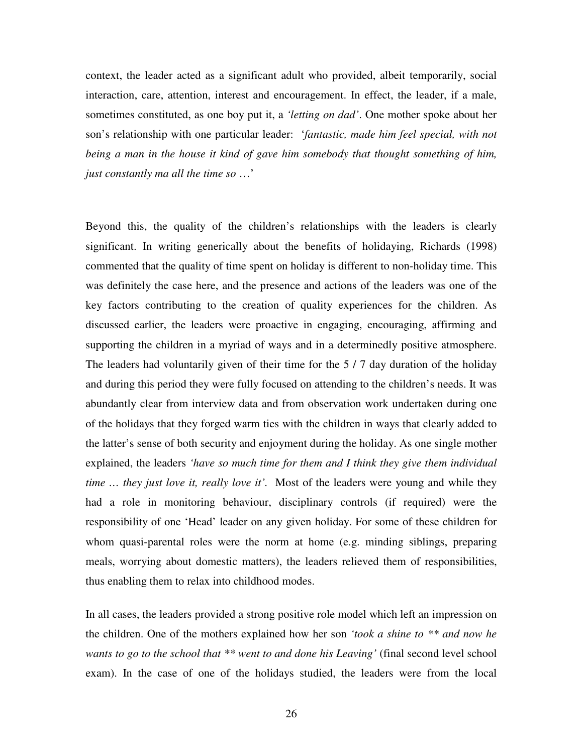context, the leader acted as a significant adult who provided, albeit temporarily, social interaction, care, attention, interest and encouragement. In effect, the leader, if a male, sometimes constituted, as one boy put it, a *'letting on dad'*. One mother spoke about her son's relationship with one particular leader: '*fantastic, made him feel special, with not being a man in the house it kind of gave him somebody that thought something of him, just constantly ma all the time so* …'

Beyond this, the quality of the children's relationships with the leaders is clearly significant. In writing generically about the benefits of holidaying, Richards (1998) commented that the quality of time spent on holiday is different to non-holiday time. This was definitely the case here, and the presence and actions of the leaders was one of the key factors contributing to the creation of quality experiences for the children. As discussed earlier, the leaders were proactive in engaging, encouraging, affirming and supporting the children in a myriad of ways and in a determinedly positive atmosphere. The leaders had voluntarily given of their time for the 5 / 7 day duration of the holiday and during this period they were fully focused on attending to the children's needs. It was abundantly clear from interview data and from observation work undertaken during one of the holidays that they forged warm ties with the children in ways that clearly added to the latter's sense of both security and enjoyment during the holiday. As one single mother explained, the leaders *'have so much time for them and I think they give them individual time … they just love it, really love it'.* Most of the leaders were young and while they had a role in monitoring behaviour, disciplinary controls (if required) were the responsibility of one 'Head' leader on any given holiday. For some of these children for whom quasi-parental roles were the norm at home (e.g. minding siblings, preparing meals, worrying about domestic matters), the leaders relieved them of responsibilities, thus enabling them to relax into childhood modes.

In all cases, the leaders provided a strong positive role model which left an impression on the children. One of the mothers explained how her son *'took a shine to \*\* and now he wants to go to the school that* \*\* *went to and done his Leaving'* (final second level school exam). In the case of one of the holidays studied, the leaders were from the local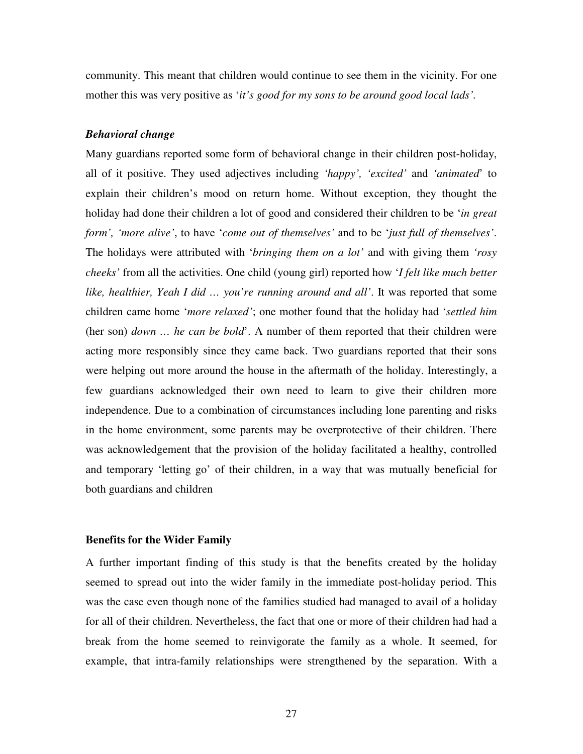community. This meant that children would continue to see them in the vicinity. For one mother this was very positive as '*it's good for my sons to be around good local lads'.*

#### *Behavioral change*

Many guardians reported some form of behavioral change in their children post-holiday, all of it positive. They used adjectives including *'happy', 'excited'* and *'animated*' to explain their children's mood on return home. Without exception, they thought the holiday had done their children a lot of good and considered their children to be '*in great form', 'more alive'*, to have '*come out of themselves'* and to be '*just full of themselves'*. The holidays were attributed with '*bringing them on a lot'* and with giving them *'rosy cheeks'* from all the activities. One child (young girl) reported how '*I felt like much better like, healthier, Yeah I did … you're running around and all'*. It was reported that some children came home '*more relaxed'*; one mother found that the holiday had '*settled him*  (her son) *down … he can be bold*'. A number of them reported that their children were acting more responsibly since they came back. Two guardians reported that their sons were helping out more around the house in the aftermath of the holiday. Interestingly, a few guardians acknowledged their own need to learn to give their children more independence. Due to a combination of circumstances including lone parenting and risks in the home environment, some parents may be overprotective of their children. There was acknowledgement that the provision of the holiday facilitated a healthy, controlled and temporary 'letting go' of their children, in a way that was mutually beneficial for both guardians and children

#### **Benefits for the Wider Family**

A further important finding of this study is that the benefits created by the holiday seemed to spread out into the wider family in the immediate post-holiday period. This was the case even though none of the families studied had managed to avail of a holiday for all of their children. Nevertheless, the fact that one or more of their children had had a break from the home seemed to reinvigorate the family as a whole. It seemed, for example, that intra-family relationships were strengthened by the separation. With a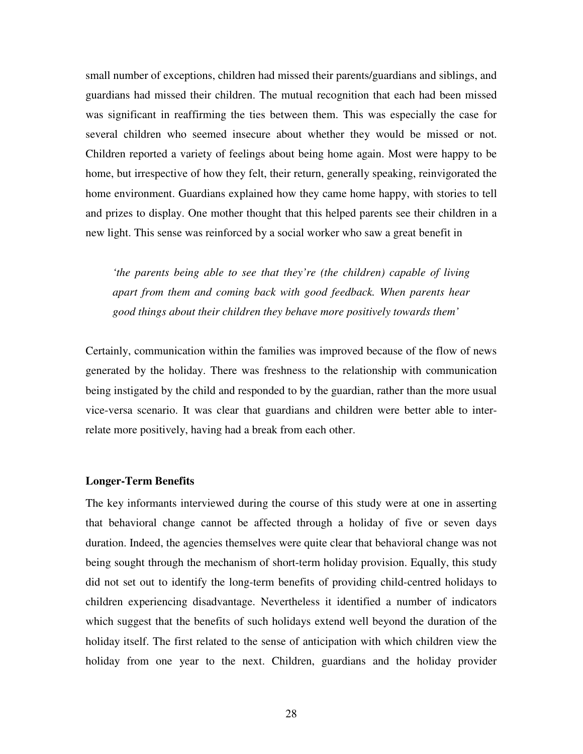small number of exceptions, children had missed their parents/guardians and siblings, and guardians had missed their children. The mutual recognition that each had been missed was significant in reaffirming the ties between them. This was especially the case for several children who seemed insecure about whether they would be missed or not. Children reported a variety of feelings about being home again. Most were happy to be home, but irrespective of how they felt, their return, generally speaking, reinvigorated the home environment. Guardians explained how they came home happy, with stories to tell and prizes to display. One mother thought that this helped parents see their children in a new light. This sense was reinforced by a social worker who saw a great benefit in

*'the parents being able to see that they're (the children) capable of living apart from them and coming back with good feedback. When parents hear good things about their children they behave more positively towards them'* 

Certainly, communication within the families was improved because of the flow of news generated by the holiday. There was freshness to the relationship with communication being instigated by the child and responded to by the guardian, rather than the more usual vice-versa scenario. It was clear that guardians and children were better able to interrelate more positively, having had a break from each other.

#### **Longer-Term Benefits**

The key informants interviewed during the course of this study were at one in asserting that behavioral change cannot be affected through a holiday of five or seven days duration. Indeed, the agencies themselves were quite clear that behavioral change was not being sought through the mechanism of short-term holiday provision. Equally, this study did not set out to identify the long-term benefits of providing child-centred holidays to children experiencing disadvantage. Nevertheless it identified a number of indicators which suggest that the benefits of such holidays extend well beyond the duration of the holiday itself. The first related to the sense of anticipation with which children view the holiday from one year to the next. Children, guardians and the holiday provider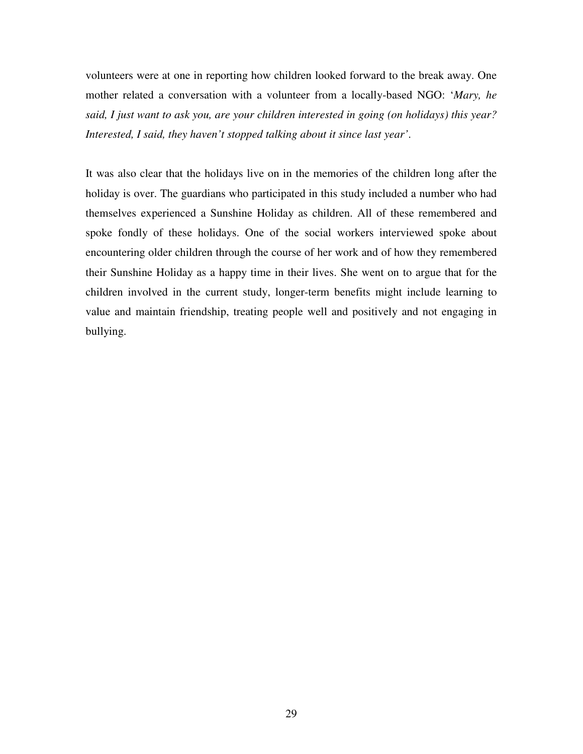volunteers were at one in reporting how children looked forward to the break away. One mother related a conversation with a volunteer from a locally-based NGO: '*Mary, he said, I just want to ask you, are your children interested in going (on holidays) this year? Interested, I said, they haven't stopped talking about it since last year'*.

It was also clear that the holidays live on in the memories of the children long after the holiday is over. The guardians who participated in this study included a number who had themselves experienced a Sunshine Holiday as children. All of these remembered and spoke fondly of these holidays. One of the social workers interviewed spoke about encountering older children through the course of her work and of how they remembered their Sunshine Holiday as a happy time in their lives. She went on to argue that for the children involved in the current study, longer-term benefits might include learning to value and maintain friendship, treating people well and positively and not engaging in bullying.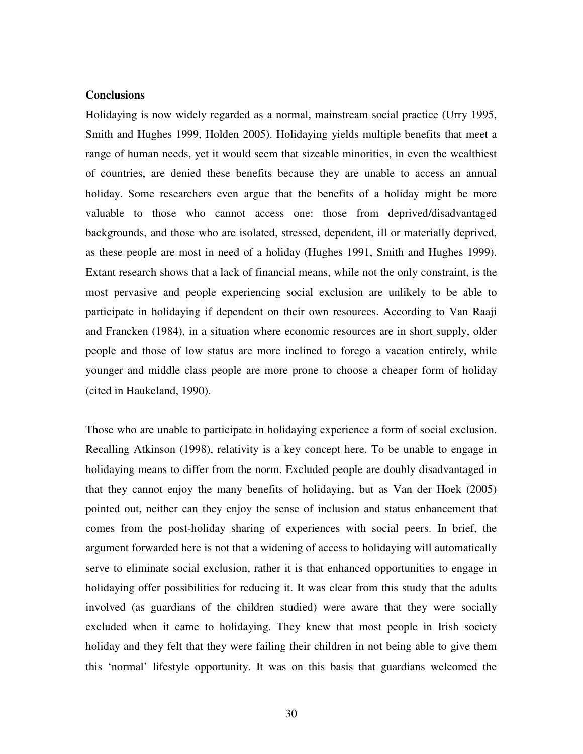#### **Conclusions**

Holidaying is now widely regarded as a normal, mainstream social practice (Urry 1995, Smith and Hughes 1999, Holden 2005). Holidaying yields multiple benefits that meet a range of human needs, yet it would seem that sizeable minorities, in even the wealthiest of countries, are denied these benefits because they are unable to access an annual holiday. Some researchers even argue that the benefits of a holiday might be more valuable to those who cannot access one: those from deprived/disadvantaged backgrounds, and those who are isolated, stressed, dependent, ill or materially deprived, as these people are most in need of a holiday (Hughes 1991, Smith and Hughes 1999). Extant research shows that a lack of financial means, while not the only constraint, is the most pervasive and people experiencing social exclusion are unlikely to be able to participate in holidaying if dependent on their own resources. According to Van Raaji and Francken (1984), in a situation where economic resources are in short supply, older people and those of low status are more inclined to forego a vacation entirely, while younger and middle class people are more prone to choose a cheaper form of holiday (cited in Haukeland, 1990).

Those who are unable to participate in holidaying experience a form of social exclusion. Recalling Atkinson (1998), relativity is a key concept here. To be unable to engage in holidaying means to differ from the norm. Excluded people are doubly disadvantaged in that they cannot enjoy the many benefits of holidaying, but as Van der Hoek (2005) pointed out, neither can they enjoy the sense of inclusion and status enhancement that comes from the post-holiday sharing of experiences with social peers. In brief, the argument forwarded here is not that a widening of access to holidaying will automatically serve to eliminate social exclusion, rather it is that enhanced opportunities to engage in holidaying offer possibilities for reducing it. It was clear from this study that the adults involved (as guardians of the children studied) were aware that they were socially excluded when it came to holidaying. They knew that most people in Irish society holiday and they felt that they were failing their children in not being able to give them this 'normal' lifestyle opportunity. It was on this basis that guardians welcomed the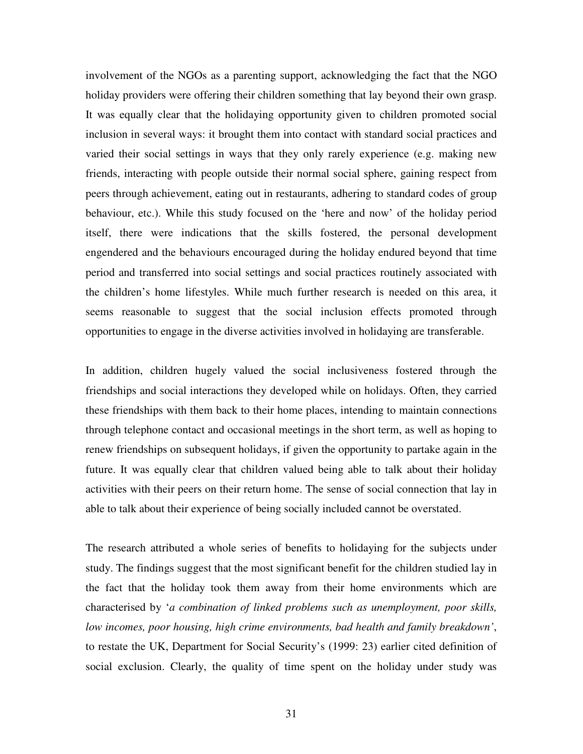involvement of the NGOs as a parenting support, acknowledging the fact that the NGO holiday providers were offering their children something that lay beyond their own grasp. It was equally clear that the holidaying opportunity given to children promoted social inclusion in several ways: it brought them into contact with standard social practices and varied their social settings in ways that they only rarely experience (e.g. making new friends, interacting with people outside their normal social sphere, gaining respect from peers through achievement, eating out in restaurants, adhering to standard codes of group behaviour, etc.). While this study focused on the 'here and now' of the holiday period itself, there were indications that the skills fostered, the personal development engendered and the behaviours encouraged during the holiday endured beyond that time period and transferred into social settings and social practices routinely associated with the children's home lifestyles. While much further research is needed on this area, it seems reasonable to suggest that the social inclusion effects promoted through opportunities to engage in the diverse activities involved in holidaying are transferable.

In addition, children hugely valued the social inclusiveness fostered through the friendships and social interactions they developed while on holidays. Often, they carried these friendships with them back to their home places, intending to maintain connections through telephone contact and occasional meetings in the short term, as well as hoping to renew friendships on subsequent holidays, if given the opportunity to partake again in the future. It was equally clear that children valued being able to talk about their holiday activities with their peers on their return home. The sense of social connection that lay in able to talk about their experience of being socially included cannot be overstated.

The research attributed a whole series of benefits to holidaying for the subjects under study. The findings suggest that the most significant benefit for the children studied lay in the fact that the holiday took them away from their home environments which are characterised by '*a combination of linked problems such as unemployment, poor skills, low incomes, poor housing, high crime environments, bad health and family breakdown'*, to restate the UK, Department for Social Security's (1999: 23) earlier cited definition of social exclusion. Clearly, the quality of time spent on the holiday under study was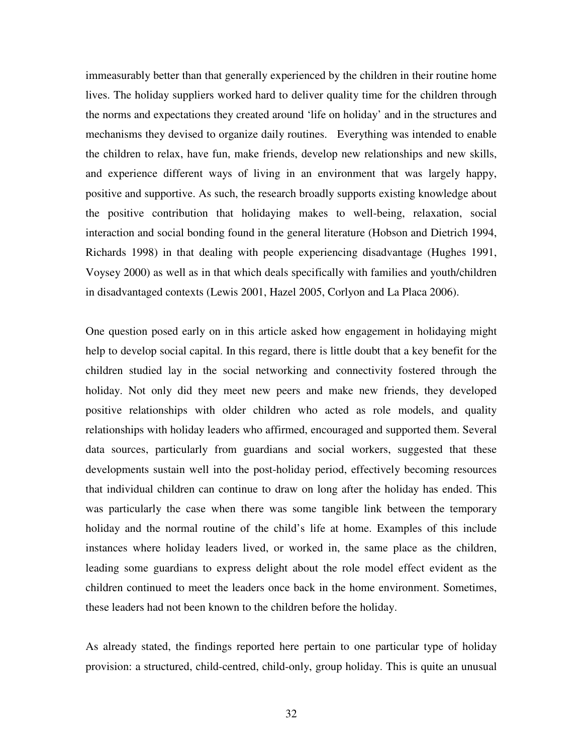immeasurably better than that generally experienced by the children in their routine home lives. The holiday suppliers worked hard to deliver quality time for the children through the norms and expectations they created around 'life on holiday' and in the structures and mechanisms they devised to organize daily routines. Everything was intended to enable the children to relax, have fun, make friends, develop new relationships and new skills, and experience different ways of living in an environment that was largely happy, positive and supportive. As such, the research broadly supports existing knowledge about the positive contribution that holidaying makes to well-being, relaxation, social interaction and social bonding found in the general literature (Hobson and Dietrich 1994, Richards 1998) in that dealing with people experiencing disadvantage (Hughes 1991, Voysey 2000) as well as in that which deals specifically with families and youth/children in disadvantaged contexts (Lewis 2001, Hazel 2005, Corlyon and La Placa 2006).

One question posed early on in this article asked how engagement in holidaying might help to develop social capital. In this regard, there is little doubt that a key benefit for the children studied lay in the social networking and connectivity fostered through the holiday. Not only did they meet new peers and make new friends, they developed positive relationships with older children who acted as role models, and quality relationships with holiday leaders who affirmed, encouraged and supported them. Several data sources, particularly from guardians and social workers, suggested that these developments sustain well into the post-holiday period, effectively becoming resources that individual children can continue to draw on long after the holiday has ended. This was particularly the case when there was some tangible link between the temporary holiday and the normal routine of the child's life at home. Examples of this include instances where holiday leaders lived, or worked in, the same place as the children, leading some guardians to express delight about the role model effect evident as the children continued to meet the leaders once back in the home environment. Sometimes, these leaders had not been known to the children before the holiday.

As already stated, the findings reported here pertain to one particular type of holiday provision: a structured, child-centred, child-only, group holiday. This is quite an unusual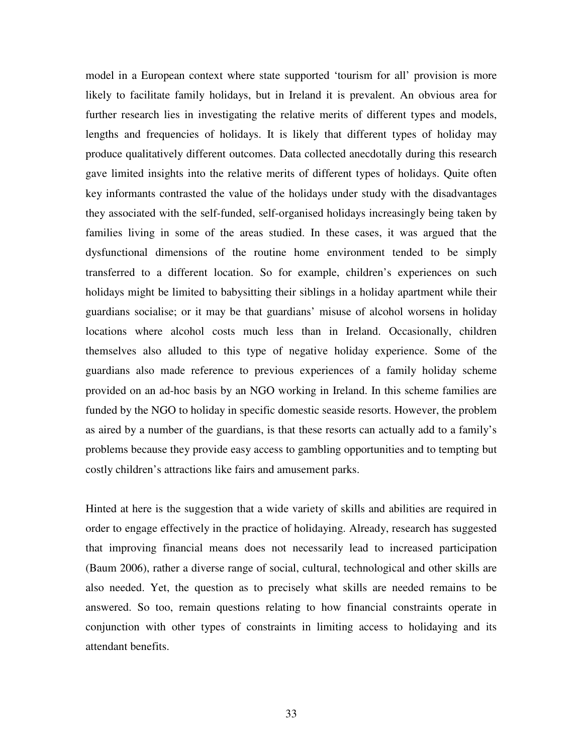model in a European context where state supported 'tourism for all' provision is more likely to facilitate family holidays, but in Ireland it is prevalent. An obvious area for further research lies in investigating the relative merits of different types and models, lengths and frequencies of holidays. It is likely that different types of holiday may produce qualitatively different outcomes. Data collected anecdotally during this research gave limited insights into the relative merits of different types of holidays. Quite often key informants contrasted the value of the holidays under study with the disadvantages they associated with the self-funded, self-organised holidays increasingly being taken by families living in some of the areas studied. In these cases, it was argued that the dysfunctional dimensions of the routine home environment tended to be simply transferred to a different location. So for example, children's experiences on such holidays might be limited to babysitting their siblings in a holiday apartment while their guardians socialise; or it may be that guardians' misuse of alcohol worsens in holiday locations where alcohol costs much less than in Ireland. Occasionally, children themselves also alluded to this type of negative holiday experience. Some of the guardians also made reference to previous experiences of a family holiday scheme provided on an ad-hoc basis by an NGO working in Ireland. In this scheme families are funded by the NGO to holiday in specific domestic seaside resorts. However, the problem as aired by a number of the guardians, is that these resorts can actually add to a family's problems because they provide easy access to gambling opportunities and to tempting but costly children's attractions like fairs and amusement parks.

Hinted at here is the suggestion that a wide variety of skills and abilities are required in order to engage effectively in the practice of holidaying. Already, research has suggested that improving financial means does not necessarily lead to increased participation (Baum 2006), rather a diverse range of social, cultural, technological and other skills are also needed. Yet, the question as to precisely what skills are needed remains to be answered. So too, remain questions relating to how financial constraints operate in conjunction with other types of constraints in limiting access to holidaying and its attendant benefits.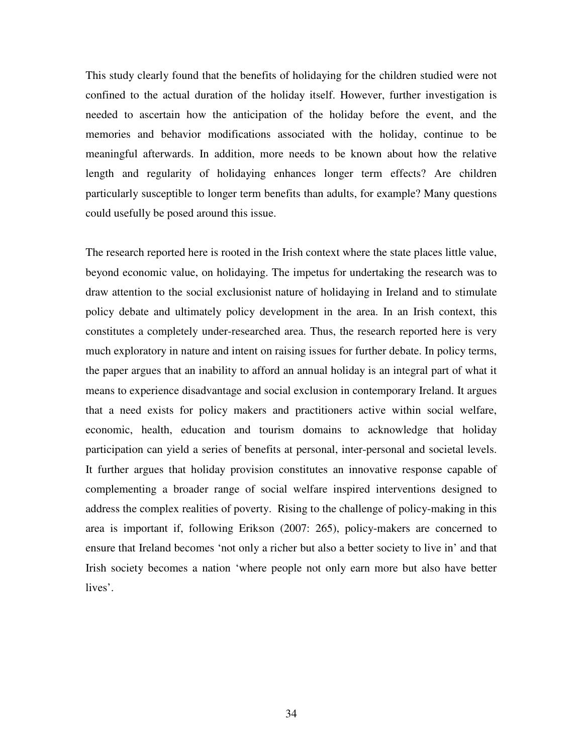This study clearly found that the benefits of holidaying for the children studied were not confined to the actual duration of the holiday itself. However, further investigation is needed to ascertain how the anticipation of the holiday before the event, and the memories and behavior modifications associated with the holiday, continue to be meaningful afterwards. In addition, more needs to be known about how the relative length and regularity of holidaying enhances longer term effects? Are children particularly susceptible to longer term benefits than adults, for example? Many questions could usefully be posed around this issue.

The research reported here is rooted in the Irish context where the state places little value, beyond economic value, on holidaying. The impetus for undertaking the research was to draw attention to the social exclusionist nature of holidaying in Ireland and to stimulate policy debate and ultimately policy development in the area. In an Irish context, this constitutes a completely under-researched area. Thus, the research reported here is very much exploratory in nature and intent on raising issues for further debate. In policy terms, the paper argues that an inability to afford an annual holiday is an integral part of what it means to experience disadvantage and social exclusion in contemporary Ireland. It argues that a need exists for policy makers and practitioners active within social welfare, economic, health, education and tourism domains to acknowledge that holiday participation can yield a series of benefits at personal, inter-personal and societal levels. It further argues that holiday provision constitutes an innovative response capable of complementing a broader range of social welfare inspired interventions designed to address the complex realities of poverty. Rising to the challenge of policy-making in this area is important if, following Erikson (2007: 265), policy-makers are concerned to ensure that Ireland becomes 'not only a richer but also a better society to live in' and that Irish society becomes a nation 'where people not only earn more but also have better lives'.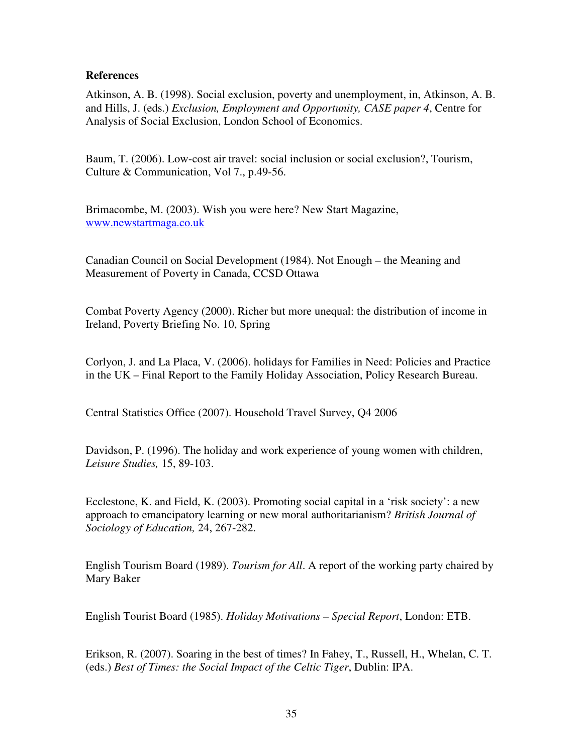## **References**

Atkinson, A. B. (1998). Social exclusion, poverty and unemployment, in, Atkinson, A. B. and Hills, J. (eds.) *Exclusion, Employment and Opportunity, CASE paper 4*, Centre for Analysis of Social Exclusion, London School of Economics.

Baum, T. (2006). Low-cost air travel: social inclusion or social exclusion?, Tourism, Culture & Communication, Vol 7., p.49-56.

Brimacombe, M. (2003). Wish you were here? New Start Magazine, www.newstartmaga.co.uk

Canadian Council on Social Development (1984). Not Enough – the Meaning and Measurement of Poverty in Canada, CCSD Ottawa

Combat Poverty Agency (2000). Richer but more unequal: the distribution of income in Ireland, Poverty Briefing No. 10, Spring

Corlyon, J. and La Placa, V. (2006). holidays for Families in Need: Policies and Practice in the UK – Final Report to the Family Holiday Association, Policy Research Bureau.

Central Statistics Office (2007). Household Travel Survey, Q4 2006

Davidson, P. (1996). The holiday and work experience of young women with children, *Leisure Studies,* 15, 89-103.

Ecclestone, K. and Field, K. (2003). Promoting social capital in a 'risk society': a new approach to emancipatory learning or new moral authoritarianism? *British Journal of Sociology of Education,* 24, 267-282.

English Tourism Board (1989). *Tourism for All*. A report of the working party chaired by Mary Baker

English Tourist Board (1985). *Holiday Motivations – Special Report*, London: ETB.

Erikson, R. (2007). Soaring in the best of times? In Fahey, T., Russell, H., Whelan, C. T. (eds.) *Best of Times: the Social Impact of the Celtic Tiger*, Dublin: IPA.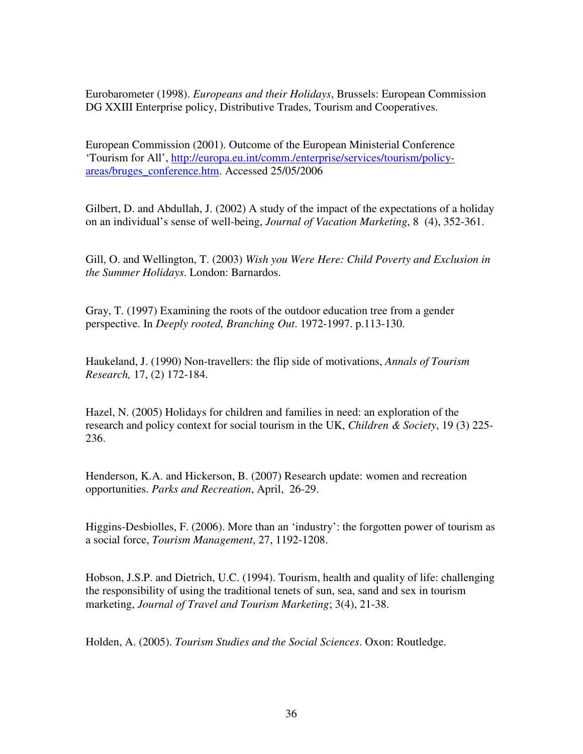Eurobarometer (1998). *Europeans and their Holidays*, Brussels: European Commission DG XXIII Enterprise policy, Distributive Trades, Tourism and Cooperatives.

European Commission (2001). Outcome of the European Ministerial Conference 'Tourism for All', http://europa.eu.int/comm./enterprise/services/tourism/policyareas/bruges\_conference.htm. Accessed 25/05/2006

Gilbert, D. and Abdullah, J. (2002) A study of the impact of the expectations of a holiday on an individual's sense of well-being, *Journal of Vacation Marketing*, 8 (4), 352-361.

Gill, O. and Wellington, T. (2003) *Wish you Were Here: Child Poverty and Exclusion in the Summer Holidays*. London: Barnardos.

Gray, T. (1997) Examining the roots of the outdoor education tree from a gender perspective. In *Deeply rooted, Branching Out*. 1972-1997. p.113-130.

Haukeland, J. (1990) Non-travellers: the flip side of motivations, *Annals of Tourism Research,* 17, (2) 172-184.

Hazel, N. (2005) Holidays for children and families in need: an exploration of the research and policy context for social tourism in the UK, *Children & Society*, 19 (3) 225- 236.

Henderson, K.A. and Hickerson, B. (2007) Research update: women and recreation opportunities. *Parks and Recreation*, April, 26-29.

Higgins-Desbiolles, F. (2006). More than an 'industry': the forgotten power of tourism as a social force, *Tourism Management*, 27, 1192-1208.

Hobson, J.S.P. and Dietrich, U.C. (1994). Tourism, health and quality of life: challenging the responsibility of using the traditional tenets of sun, sea, sand and sex in tourism marketing, *Journal of Travel and Tourism Marketing*; 3(4), 21-38.

Holden, A. (2005). *Tourism Studies and the Social Sciences*. Oxon: Routledge.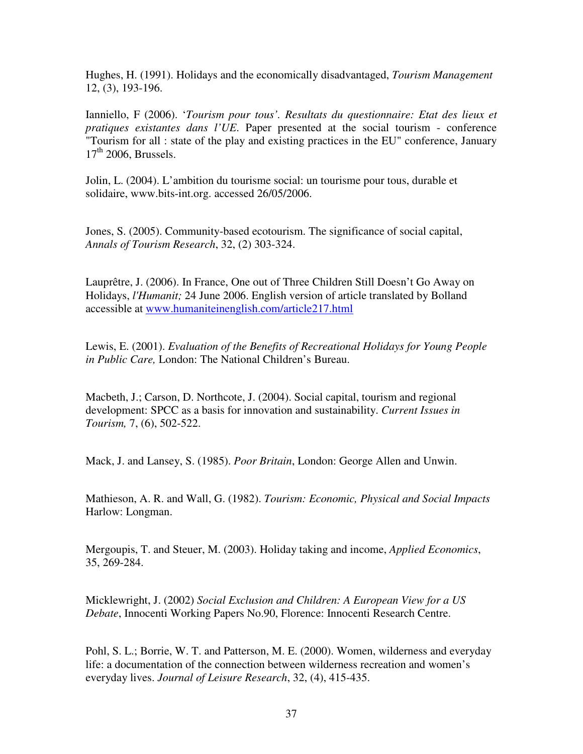Hughes, H. (1991). Holidays and the economically disadvantaged, *Tourism Management* 12, (3), 193-196.

Ianniello, F (2006). '*Tourism pour tous'. Resultats du questionnaire: Etat des lieux et pratiques existantes dans l'UE*. Paper presented at the social tourism - conference "Tourism for all : state of the play and existing practices in the EU" conference, January  $17<sup>th</sup>$  2006, Brussels.

Jolin, L. (2004). L'ambition du tourisme social: un tourisme pour tous, durable et solidaire, www.bits-int.org. accessed 26/05/2006.

Jones, S. (2005). Community-based ecotourism. The significance of social capital, *Annals of Tourism Research*, 32, (2) 303-324.

Lauprêtre, J. (2006). In France, One out of Three Children Still Doesn't Go Away on Holidays, *l'Humanit;* 24 June 2006. English version of article translated by Bolland accessible at www.humaniteinenglish.com/article217.html

Lewis, E. (2001). *Evaluation of the Benefits of Recreational Holidays for Young People in Public Care,* London: The National Children's Bureau.

Macbeth, J.; Carson, D. Northcote, J. (2004). Social capital, tourism and regional development: SPCC as a basis for innovation and sustainability. *Current Issues in Tourism,* 7, (6), 502-522.

Mack, J. and Lansey, S. (1985). *Poor Britain*, London: George Allen and Unwin.

Mathieson, A. R. and Wall, G. (1982). *Tourism: Economic, Physical and Social Impacts* Harlow: Longman.

Mergoupis, T. and Steuer, M. (2003). Holiday taking and income, *Applied Economics*, 35, 269-284.

Micklewright, J. (2002) *Social Exclusion and Children: A European View for a US Debate*, Innocenti Working Papers No.90, Florence: Innocenti Research Centre.

Pohl, S. L.; Borrie, W. T. and Patterson, M. E. (2000). Women, wilderness and everyday life: a documentation of the connection between wilderness recreation and women's everyday lives. *Journal of Leisure Research*, 32, (4), 415-435.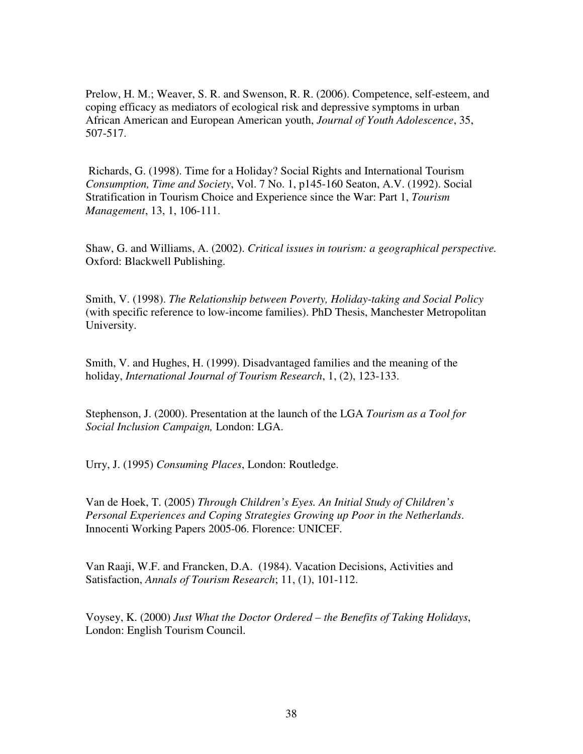Prelow, H. M.; Weaver, S. R. and Swenson, R. R. (2006). Competence, self-esteem, and coping efficacy as mediators of ecological risk and depressive symptoms in urban African American and European American youth, *Journal of Youth Adolescence*, 35, 507-517.

 Richards, G. (1998). Time for a Holiday? Social Rights and International Tourism *Consumption, Time and Society*, Vol. 7 No. 1, p145-160 Seaton, A.V. (1992). Social Stratification in Tourism Choice and Experience since the War: Part 1, *Tourism Management*, 13, 1, 106-111.

Shaw, G. and Williams, A. (2002). *Critical issues in tourism: a geographical perspective.* Oxford: Blackwell Publishing.

Smith, V. (1998). *The Relationship between Poverty, Holiday-taking and Social Policy* (with specific reference to low-income families). PhD Thesis, Manchester Metropolitan University.

Smith, V. and Hughes, H. (1999). Disadvantaged families and the meaning of the holiday, *International Journal of Tourism Research*, 1, (2), 123-133.

Stephenson, J. (2000). Presentation at the launch of the LGA *Tourism as a Tool for Social Inclusion Campaign,* London: LGA.

Urry, J. (1995) *Consuming Places*, London: Routledge.

Van de Hoek, T. (2005) *Through Children's Eyes. An Initial Study of Children's Personal Experiences and Coping Strategies Growing up Poor in the Netherlands*. Innocenti Working Papers 2005-06. Florence: UNICEF.

Van Raaji, W.F. and Francken, D.A. (1984). Vacation Decisions, Activities and Satisfaction, *Annals of Tourism Research*; 11, (1), 101-112.

Voysey, K. (2000) *Just What the Doctor Ordered – the Benefits of Taking Holidays*, London: English Tourism Council.